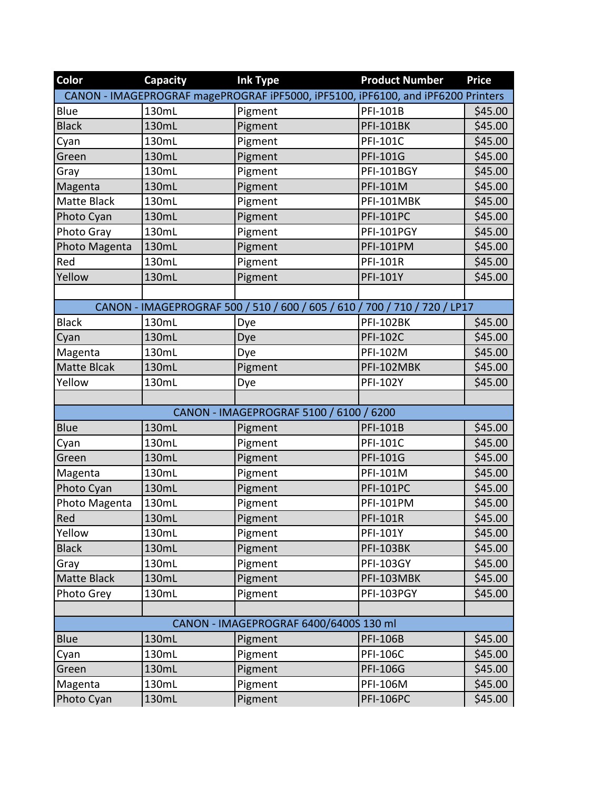| Color              | <b>Capacity</b> | <b>Ink Type</b>                                                                  | <b>Product Number</b> | <b>Price</b> |
|--------------------|-----------------|----------------------------------------------------------------------------------|-----------------------|--------------|
|                    |                 | CANON - IMAGEPROGRAF magePROGRAF IPF5000, IPF5100, IPF6100, and IPF6200 Printers |                       |              |
| Blue               | 130mL           | Pigment                                                                          | PFI-101B              | \$45.00      |
| <b>Black</b>       | 130mL           | Pigment                                                                          | <b>PFI-101BK</b>      | \$45.00      |
| Cyan               | 130mL           | Pigment                                                                          | PFI-101C              | \$45.00      |
| Green              | 130mL           | Pigment                                                                          | <b>PFI-101G</b>       | \$45.00      |
| Gray               | 130mL           | Pigment                                                                          | <b>PFI-101BGY</b>     | \$45.00      |
| Magenta            | 130mL           | Pigment                                                                          | PFI-101M              | \$45.00      |
| <b>Matte Black</b> | 130mL           | Pigment                                                                          | PFI-101MBK            | \$45.00      |
| Photo Cyan         | 130mL           | Pigment                                                                          | <b>PFI-101PC</b>      | \$45.00      |
| Photo Gray         | 130mL           | Pigment                                                                          | PFI-101PGY            | \$45.00      |
| Photo Magenta      | 130mL           | Pigment                                                                          | <b>PFI-101PM</b>      | \$45.00      |
| Red                | 130mL           | Pigment                                                                          | <b>PFI-101R</b>       | \$45.00      |
| Yellow             | 130mL           | Pigment                                                                          | PFI-101Y              | \$45.00      |
|                    |                 |                                                                                  |                       |              |
|                    |                 | CANON - IMAGEPROGRAF 500 / 510 / 600 / 605 / 610 / 700 / 710 / 720 / LP17        |                       |              |
| <b>Black</b>       | 130mL           | Dye                                                                              | <b>PFI-102BK</b>      | \$45.00      |
| Cyan               | 130mL           | Dye                                                                              | <b>PFI-102C</b>       | \$45.00      |
| Magenta            | 130mL           | Dye                                                                              | PFI-102M              | \$45.00      |
| Matte Blcak        | 130mL           | Pigment                                                                          | PFI-102MBK            | \$45.00      |
| Yellow             | 130mL           | Dye                                                                              | <b>PFI-102Y</b>       | \$45.00      |
|                    |                 |                                                                                  |                       |              |
|                    |                 | CANON - IMAGEPROGRAF 5100 / 6100 / 6200                                          |                       |              |
| <b>Blue</b>        | 130mL           | Pigment                                                                          | <b>PFI-101B</b>       | \$45.00      |
| Cyan               | 130mL           | Pigment                                                                          | <b>PFI-101C</b>       | \$45.00      |
| Green              | 130mL           | Pigment                                                                          | <b>PFI-101G</b>       | \$45.00      |
| Magenta            | 130mL           | Pigment                                                                          | PFI-101M              | \$45.00      |
| Photo Cyan         | 130mL           | Pigment                                                                          | <b>PFI-101PC</b>      | \$45.00      |
| Photo Magenta      | 130mL           | Pigment                                                                          | <b>PFI-101PM</b>      | \$45.00      |
| Red                | 130mL           | Pigment                                                                          | <b>PFI-101R</b>       | \$45.00      |
| Yellow             | 130mL           | Pigment                                                                          | PFI-101Y              | \$45.00      |
| <b>Black</b>       | 130mL           | Pigment                                                                          | <b>PFI-103BK</b>      | \$45.00      |
| Gray               | 130mL           | Pigment                                                                          | <b>PFI-103GY</b>      | \$45.00      |
| <b>Matte Black</b> | 130mL           | Pigment                                                                          | PFI-103MBK            | \$45.00      |
| Photo Grey         | 130mL           | Pigment                                                                          | PFI-103PGY            | \$45.00      |
|                    |                 |                                                                                  |                       |              |
|                    |                 | CANON - IMAGEPROGRAF 6400/6400S 130 ml                                           |                       |              |
| <b>Blue</b>        | 130mL           | Pigment                                                                          | <b>PFI-106B</b>       | \$45.00      |
| Cyan               | 130mL           | Pigment                                                                          | <b>PFI-106C</b>       | \$45.00      |
| Green              | 130mL           | Pigment                                                                          | <b>PFI-106G</b>       | \$45.00      |
| Magenta            | 130mL           | Pigment                                                                          | PFI-106M              | \$45.00      |
| Photo Cyan         | 130mL           | Pigment                                                                          | <b>PFI-106PC</b>      | \$45.00      |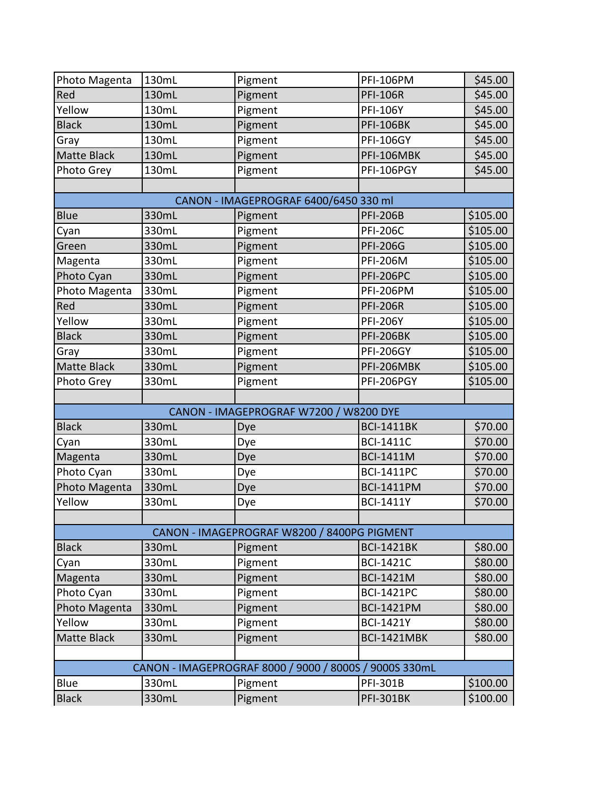| Photo Magenta      | 130mL | Pigment                                                | <b>PFI-106PM</b>   | \$45.00  |
|--------------------|-------|--------------------------------------------------------|--------------------|----------|
| Red                | 130mL | Pigment                                                | <b>PFI-106R</b>    | \$45.00  |
| Yellow             | 130mL | Pigment                                                | <b>PFI-106Y</b>    | \$45.00  |
| <b>Black</b>       | 130mL | Pigment                                                | <b>PFI-106BK</b>   | \$45.00  |
| Gray               | 130mL | Pigment                                                | <b>PFI-106GY</b>   | \$45.00  |
| <b>Matte Black</b> | 130mL | Pigment                                                | PFI-106MBK         | \$45.00  |
| Photo Grey         | 130mL | Pigment                                                | PFI-106PGY         | \$45.00  |
|                    |       |                                                        |                    |          |
|                    |       | CANON - IMAGEPROGRAF 6400/6450 330 ml                  |                    |          |
| <b>Blue</b>        | 330mL | Pigment                                                | <b>PFI-206B</b>    | \$105.00 |
| Cyan               | 330mL | Pigment                                                | <b>PFI-206C</b>    | \$105.00 |
| Green              | 330mL | Pigment                                                | <b>PFI-206G</b>    | \$105.00 |
| Magenta            | 330mL | Pigment                                                | <b>PFI-206M</b>    | \$105.00 |
| Photo Cyan         | 330mL | Pigment                                                | <b>PFI-206PC</b>   | \$105.00 |
| Photo Magenta      | 330mL | Pigment                                                | <b>PFI-206PM</b>   | \$105.00 |
| Red                | 330mL | Pigment                                                | <b>PFI-206R</b>    | \$105.00 |
| Yellow             | 330mL | Pigment                                                | <b>PFI-206Y</b>    | \$105.00 |
| <b>Black</b>       | 330mL | Pigment                                                | <b>PFI-206BK</b>   | \$105.00 |
| Gray               | 330mL | Pigment                                                | <b>PFI-206GY</b>   | \$105.00 |
| <b>Matte Black</b> | 330mL | Pigment                                                | PFI-206MBK         | \$105.00 |
| Photo Grey         | 330mL | Pigment                                                | PFI-206PGY         | \$105.00 |
|                    |       |                                                        |                    |          |
|                    |       |                                                        |                    |          |
|                    |       | CANON - IMAGEPROGRAF W7200 / W8200 DYE                 |                    |          |
| <b>Black</b>       | 330mL | Dye                                                    | <b>BCI-1411BK</b>  | \$70.00  |
| Cyan               | 330mL | Dye                                                    | <b>BCI-1411C</b>   | \$70.00  |
| Magenta            | 330mL | Dye                                                    | <b>BCI-1411M</b>   | \$70.00  |
| Photo Cyan         | 330mL | Dye                                                    | <b>BCI-1411PC</b>  | \$70.00  |
| Photo Magenta      | 330mL | Dye                                                    | <b>BCI-1411PM</b>  | \$70.00  |
| Yellow             | 330mL | Dye                                                    | <b>BCI-1411Y</b>   | \$70.00  |
|                    |       |                                                        |                    |          |
|                    |       | CANON - IMAGEPROGRAF W8200 / 8400PG PIGMENT            |                    |          |
| <b>Black</b>       | 330mL | Pigment                                                | <b>BCI-1421BK</b>  | \$80.00  |
| Cyan               | 330mL | Pigment                                                | <b>BCI-1421C</b>   | \$80.00  |
| Magenta            | 330mL | Pigment                                                | <b>BCI-1421M</b>   | \$80.00  |
| Photo Cyan         | 330mL | Pigment                                                | <b>BCI-1421PC</b>  | \$80.00  |
| Photo Magenta      | 330mL | Pigment                                                | <b>BCI-1421PM</b>  | \$80.00  |
| Yellow             | 330mL | Pigment                                                | <b>BCI-1421Y</b>   | \$80.00  |
| Matte Black        | 330mL | Pigment                                                | <b>BCI-1421MBK</b> | \$80.00  |
|                    |       |                                                        |                    |          |
|                    |       | CANON - IMAGEPROGRAF 8000 / 9000 / 8000S / 9000S 330mL |                    |          |
| <b>Blue</b>        | 330mL | Pigment                                                | <b>PFI-301B</b>    | \$100.00 |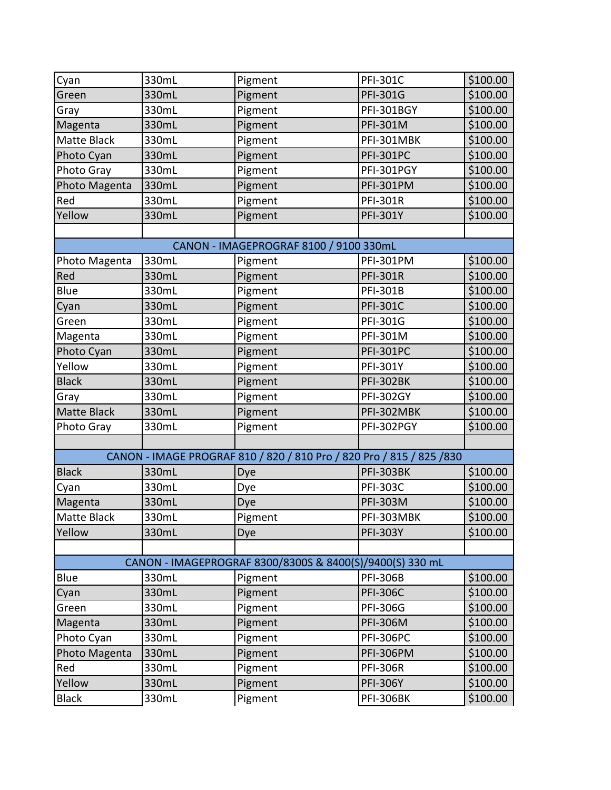| Cyan               | 330mL | Pigment                                                               | <b>PFI-301C</b>  | \$100.00 |
|--------------------|-------|-----------------------------------------------------------------------|------------------|----------|
| Green              | 330mL | Pigment                                                               | <b>PFI-301G</b>  | \$100.00 |
| Gray               | 330mL | Pigment                                                               | PFI-301BGY       | \$100.00 |
| Magenta            | 330mL | Pigment                                                               | <b>PFI-301M</b>  | \$100.00 |
| Matte Black        | 330mL | Pigment                                                               | PFI-301MBK       | \$100.00 |
| Photo Cyan         | 330mL | Pigment                                                               | <b>PFI-301PC</b> | \$100.00 |
| Photo Gray         | 330mL | Pigment                                                               | PFI-301PGY       | \$100.00 |
| Photo Magenta      | 330mL | Pigment                                                               | <b>PFI-301PM</b> | \$100.00 |
| Red                | 330mL | Pigment                                                               | <b>PFI-301R</b>  | \$100.00 |
| Yellow             | 330mL | Pigment                                                               | <b>PFI-301Y</b>  | \$100.00 |
|                    |       |                                                                       |                  |          |
|                    |       | CANON - IMAGEPROGRAF 8100 / 9100 330mL                                |                  |          |
| Photo Magenta      | 330mL | Pigment                                                               | <b>PFI-301PM</b> | \$100.00 |
| Red                | 330mL | Pigment                                                               | <b>PFI-301R</b>  | \$100.00 |
| Blue               | 330mL | Pigment                                                               | <b>PFI-301B</b>  | \$100.00 |
| Cyan               | 330mL | Pigment                                                               | <b>PFI-301C</b>  | \$100.00 |
| Green              | 330mL | Pigment                                                               | PFI-301G         | \$100.00 |
| Magenta            | 330mL | Pigment                                                               | PFI-301M         | \$100.00 |
| Photo Cyan         | 330mL | Pigment                                                               | <b>PFI-301PC</b> | \$100.00 |
| Yellow             | 330mL | Pigment                                                               | <b>PFI-301Y</b>  | \$100.00 |
| <b>Black</b>       | 330mL | Pigment                                                               | <b>PFI-302BK</b> | \$100.00 |
| Gray               | 330mL | Pigment                                                               | <b>PFI-302GY</b> | \$100.00 |
| <b>Matte Black</b> | 330mL | Pigment                                                               | PFI-302MBK       | \$100.00 |
| Photo Gray         | 330mL | Pigment                                                               | PFI-302PGY       | \$100.00 |
|                    |       |                                                                       |                  |          |
|                    |       | CANON - IMAGE PROGRAF 810 / 820 / 810 Pro / 820 Pro / 815 / 825 / 830 |                  |          |
| <b>Black</b>       | 330mL | Dye                                                                   | <b>PFI-303BK</b> | \$100.00 |
| Cyan               | 330mL | Dye                                                                   | <b>PFI-303C</b>  | \$100.00 |
| Magenta            | 330mL | Dye                                                                   | <b>PFI-303M</b>  | \$100.00 |
| Matte Black        | 330mL | Pigment                                                               | PFI-303MBK       | \$100.00 |
| Yellow             | 330mL | Dye                                                                   | <b>PFI-303Y</b>  | \$100.00 |
|                    |       |                                                                       |                  |          |
|                    |       | CANON - IMAGEPROGRAF 8300/8300S & 8400(S)/9400(S) 330 mL              |                  |          |
| Blue               | 330mL | Pigment                                                               | <b>PFI-306B</b>  | \$100.00 |
| Cyan               | 330mL | Pigment                                                               | <b>PFI-306C</b>  | \$100.00 |
| Green              | 330mL | Pigment                                                               | <b>PFI-306G</b>  | \$100.00 |
| Magenta            | 330mL | Pigment                                                               | <b>PFI-306M</b>  | \$100.00 |
| Photo Cyan         | 330mL | Pigment                                                               | <b>PFI-306PC</b> | \$100.00 |
| Photo Magenta      | 330mL | Pigment                                                               | <b>PFI-306PM</b> | \$100.00 |
| Red                | 330mL | Pigment                                                               | <b>PFI-306R</b>  | \$100.00 |
| Yellow             | 330mL | Pigment                                                               | <b>PFI-306Y</b>  | \$100.00 |
| <b>Black</b>       | 330mL | Pigment                                                               | <b>PFI-306BK</b> | \$100.00 |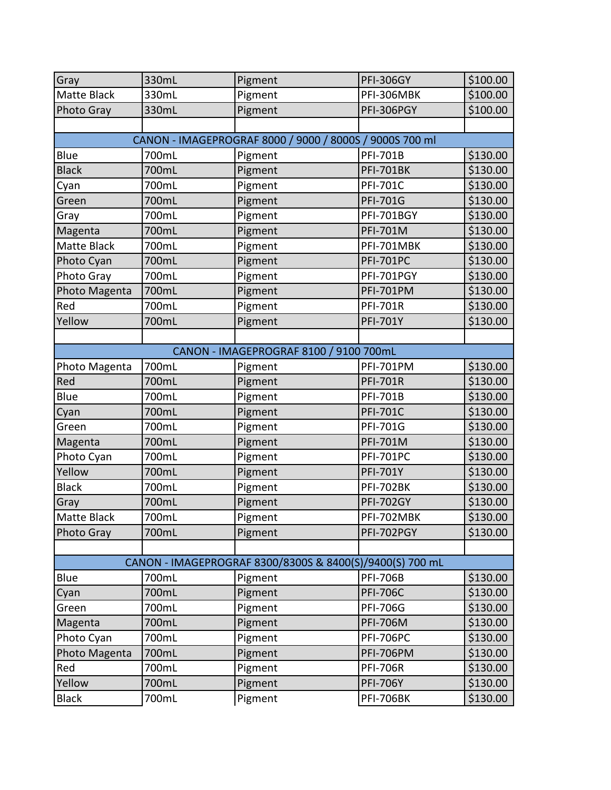| Gray               | 330mL | Pigment                                                  | <b>PFI-306GY</b>  | \$100.00 |  |
|--------------------|-------|----------------------------------------------------------|-------------------|----------|--|
| <b>Matte Black</b> | 330mL | Pigment                                                  | PFI-306MBK        | \$100.00 |  |
| Photo Gray         | 330mL | Pigment                                                  | PFI-306PGY        | \$100.00 |  |
|                    |       |                                                          |                   |          |  |
|                    |       | CANON - IMAGEPROGRAF 8000 / 9000 / 8000S / 9000S 700 ml  |                   |          |  |
| Blue               | 700mL | Pigment                                                  | <b>PFI-701B</b>   | \$130.00 |  |
| <b>Black</b>       | 700mL | Pigment                                                  | <b>PFI-701BK</b>  | \$130.00 |  |
| Cyan               | 700mL | Pigment                                                  | <b>PFI-701C</b>   | \$130.00 |  |
| Green              | 700mL | Pigment                                                  | <b>PFI-701G</b>   | \$130.00 |  |
| Gray               | 700mL | Pigment                                                  | <b>PFI-701BGY</b> | \$130.00 |  |
| Magenta            | 700mL | Pigment                                                  | <b>PFI-701M</b>   | \$130.00 |  |
| <b>Matte Black</b> | 700mL | Pigment                                                  | PFI-701MBK        | \$130.00 |  |
| Photo Cyan         | 700mL | Pigment                                                  | <b>PFI-701PC</b>  | \$130.00 |  |
| Photo Gray         | 700mL | Pigment                                                  | PFI-701PGY        | \$130.00 |  |
| Photo Magenta      | 700mL | Pigment                                                  | <b>PFI-701PM</b>  | \$130.00 |  |
| Red                | 700mL | Pigment                                                  | <b>PFI-701R</b>   | \$130.00 |  |
| Yellow             | 700mL | Pigment                                                  | <b>PFI-701Y</b>   | \$130.00 |  |
|                    |       |                                                          |                   |          |  |
|                    |       | CANON - IMAGEPROGRAF 8100 / 9100 700mL                   |                   |          |  |
| Photo Magenta      | 700mL | Pigment                                                  | <b>PFI-701PM</b>  | \$130.00 |  |
| Red                | 700mL | Pigment                                                  | <b>PFI-701R</b>   | \$130.00 |  |
| Blue               | 700mL | Pigment                                                  | <b>PFI-701B</b>   | \$130.00 |  |
| Cyan               | 700mL | Pigment                                                  | <b>PFI-701C</b>   | \$130.00 |  |
| Green              | 700mL | Pigment                                                  | <b>PFI-701G</b>   | \$130.00 |  |
| Magenta            | 700mL | Pigment                                                  | PFI-701M          | \$130.00 |  |
| Photo Cyan         | 700mL | Pigment                                                  | <b>PFI-701PC</b>  | \$130.00 |  |
| Yellow             | 700mL | Pigment                                                  | <b>PFI-701Y</b>   | \$130.00 |  |
| <b>Black</b>       | 700mL | Pigment                                                  | <b>PFI-702BK</b>  | \$130.00 |  |
| Gray               | 700mL | Pigment                                                  | <b>PFI-702GY</b>  | \$130.00 |  |
| Matte Black        | 700mL | Pigment                                                  | PFI-702MBK        | \$130.00 |  |
| <b>Photo Gray</b>  | 700mL | Pigment                                                  | PFI-702PGY        | \$130.00 |  |
|                    |       |                                                          |                   |          |  |
|                    |       | CANON - IMAGEPROGRAF 8300/8300S & 8400(S)/9400(S) 700 mL |                   |          |  |
| <b>Blue</b>        | 700mL | Pigment                                                  | <b>PFI-706B</b>   | \$130.00 |  |
| Cyan               | 700mL | Pigment                                                  | <b>PFI-706C</b>   | \$130.00 |  |
| Green              | 700mL | Pigment                                                  | <b>PFI-706G</b>   | \$130.00 |  |
| Magenta            | 700mL | Pigment                                                  | <b>PFI-706M</b>   | \$130.00 |  |
| Photo Cyan         | 700mL | Pigment                                                  | <b>PFI-706PC</b>  | \$130.00 |  |
| Photo Magenta      | 700mL | Pigment                                                  | <b>PFI-706PM</b>  | \$130.00 |  |
| Red                | 700mL | Pigment                                                  | <b>PFI-706R</b>   | \$130.00 |  |
| Yellow             | 700mL | Pigment                                                  | <b>PFI-706Y</b>   | \$130.00 |  |
| <b>Black</b>       | 700mL | Pigment                                                  | <b>PFI-706BK</b>  | \$130.00 |  |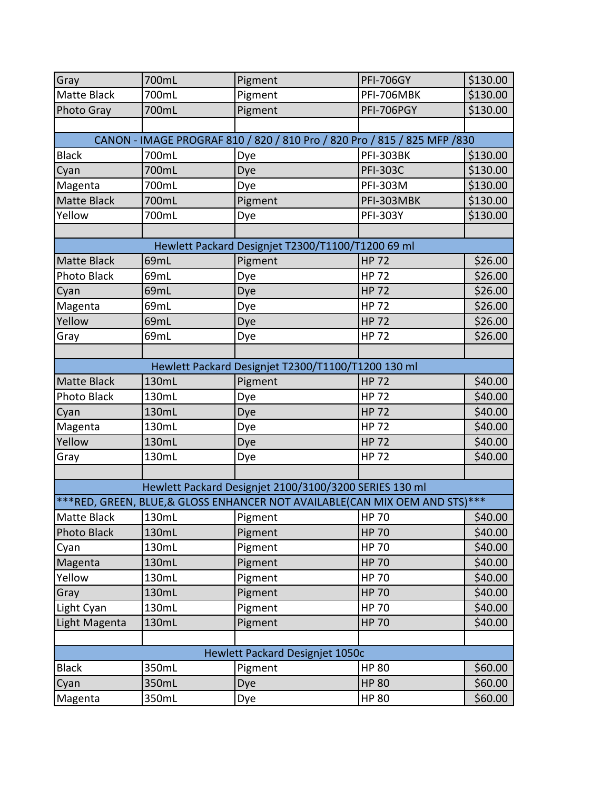| Gray               | 700mL | Pigment                                                                     | <b>PFI-706GY</b> | \$130.00 |
|--------------------|-------|-----------------------------------------------------------------------------|------------------|----------|
| <b>Matte Black</b> | 700mL | Pigment                                                                     | PFI-706MBK       | \$130.00 |
| Photo Gray         | 700mL | Pigment                                                                     | PFI-706PGY       | \$130.00 |
|                    |       |                                                                             |                  |          |
|                    |       | CANON - IMAGE PROGRAF 810 / 820 / 810 Pro / 820 Pro / 815 / 825 MFP / 830   |                  |          |
| <b>Black</b>       | 700mL | Dye                                                                         | <b>PFI-303BK</b> | \$130.00 |
| Cyan               | 700mL | Dye                                                                         | <b>PFI-303C</b>  | \$130.00 |
| Magenta            | 700mL | Dye                                                                         | <b>PFI-303M</b>  | \$130.00 |
| Matte Black        | 700mL | Pigment                                                                     | PFI-303MBK       | \$130.00 |
| Yellow             | 700mL | Dye                                                                         | <b>PFI-303Y</b>  | \$130.00 |
|                    |       |                                                                             |                  |          |
|                    |       | Hewlett Packard Designjet T2300/T1100/T1200 69 ml                           |                  |          |
| <b>Matte Black</b> | 69mL  | Pigment                                                                     | <b>HP 72</b>     | \$26.00  |
| <b>Photo Black</b> | 69mL  | Dye                                                                         | <b>HP 72</b>     | \$26.00  |
| Cyan               | 69mL  | Dye                                                                         | <b>HP 72</b>     | \$26.00  |
| Magenta            | 69mL  | Dye                                                                         | <b>HP 72</b>     | \$26.00  |
| Yellow             | 69mL  | Dye                                                                         | <b>HP 72</b>     | \$26.00  |
| Gray               | 69mL  | Dye                                                                         | <b>HP 72</b>     | \$26.00  |
|                    |       |                                                                             |                  |          |
|                    |       | Hewlett Packard Designjet T2300/T1100/T1200 130 ml                          |                  |          |
| <b>Matte Black</b> | 130mL | Pigment                                                                     | <b>HP 72</b>     | \$40.00  |
| Photo Black        | 130mL | Dye                                                                         | <b>HP 72</b>     | \$40.00  |
| Cyan               | 130mL | Dye                                                                         | <b>HP 72</b>     | \$40.00  |
| Magenta            | 130mL | Dye                                                                         | <b>HP 72</b>     | \$40.00  |
| Yellow             | 130mL | Dye                                                                         | <b>HP 72</b>     | \$40.00  |
| Gray               | 130mL | Dye                                                                         | <b>HP 72</b>     | \$40.00  |
|                    |       |                                                                             |                  |          |
|                    |       | Hewlett Packard Designjet 2100/3100/3200 SERIES 130 ml                      |                  |          |
|                    |       | ***RED, GREEN, BLUE, & GLOSS ENHANCER NOT AVAILABLE(CAN MIX OEM AND STS)*** |                  |          |
| Matte Black        | 130mL | Pigment                                                                     | <b>HP 70</b>     | \$40.00  |
| <b>Photo Black</b> | 130mL | Pigment                                                                     | <b>HP 70</b>     | \$40.00  |
| Cyan               | 130mL | Pigment                                                                     | <b>HP 70</b>     | \$40.00  |
| Magenta            | 130mL | Pigment                                                                     | <b>HP 70</b>     | \$40.00  |
| Yellow             | 130mL | Pigment                                                                     | <b>HP 70</b>     | \$40.00  |
| Gray               | 130mL | Pigment                                                                     | <b>HP 70</b>     | \$40.00  |
| Light Cyan         | 130mL | Pigment                                                                     | <b>HP 70</b>     | \$40.00  |
| Light Magenta      | 130mL | Pigment                                                                     | <b>HP 70</b>     | \$40.00  |
|                    |       |                                                                             |                  |          |
|                    |       | Hewlett Packard Designjet 1050c                                             |                  |          |
| <b>Black</b>       | 350mL | Pigment                                                                     | <b>HP 80</b>     | \$60.00  |
| Cyan               | 350mL | Dye                                                                         | <b>HP 80</b>     | \$60.00  |
| Magenta            | 350mL | Dye                                                                         | <b>HP 80</b>     | \$60.00  |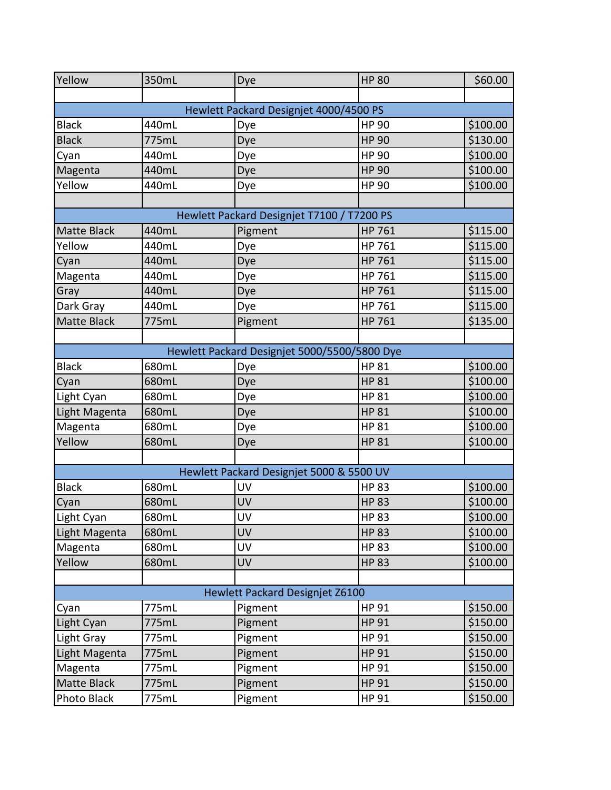| Yellow        | 350mL | Dye                                          | <b>HP 80</b> | \$60.00  |  |
|---------------|-------|----------------------------------------------|--------------|----------|--|
|               |       |                                              |              |          |  |
|               |       | Hewlett Packard Designjet 4000/4500 PS       |              |          |  |
| <b>Black</b>  | 440mL | Dye                                          | <b>HP 90</b> | \$100.00 |  |
| <b>Black</b>  | 775mL | Dye                                          | <b>HP 90</b> | \$130.00 |  |
| Cyan          | 440mL | Dye                                          | <b>HP 90</b> | \$100.00 |  |
| Magenta       | 440mL | Dye                                          | <b>HP 90</b> | \$100.00 |  |
| Yellow        | 440mL | Dye                                          | <b>HP 90</b> | \$100.00 |  |
|               |       |                                              |              |          |  |
|               |       | Hewlett Packard Designjet T7100 / T7200 PS   |              |          |  |
| Matte Black   | 440mL | Pigment                                      | HP 761       | \$115.00 |  |
| Yellow        | 440mL | Dye                                          | HP 761       | \$115.00 |  |
| Cyan          | 440mL | Dye                                          | HP 761       | \$115.00 |  |
| Magenta       | 440mL | Dye                                          | HP 761       | \$115.00 |  |
| Gray          | 440mL | Dye                                          | HP 761       | \$115.00 |  |
| Dark Gray     | 440mL | Dye                                          | HP 761       | \$115.00 |  |
| Matte Black   | 775mL | Pigment                                      | HP 761       | \$135.00 |  |
|               |       |                                              |              |          |  |
|               |       | Hewlett Packard Designjet 5000/5500/5800 Dye |              |          |  |
| <b>Black</b>  | 680mL | Dye                                          | <b>HP 81</b> | \$100.00 |  |
| Cyan          | 680mL | Dye                                          | <b>HP 81</b> | \$100.00 |  |
| Light Cyan    | 680mL | Dye                                          | <b>HP 81</b> | \$100.00 |  |
| Light Magenta | 680mL | Dye                                          | <b>HP 81</b> | \$100.00 |  |
| Magenta       | 680mL | Dye                                          | <b>HP 81</b> | \$100.00 |  |
| Yellow        | 680mL | Dye                                          | <b>HP 81</b> | \$100.00 |  |
|               |       |                                              |              |          |  |
|               |       | Hewlett Packard Designjet 5000 & 5500 UV     |              |          |  |
| <b>Black</b>  | 680mL | UV                                           | <b>HP 83</b> | \$100.00 |  |
| Cyan          | 680mL | UV                                           | <b>HP 83</b> | \$100.00 |  |
| Light Cyan    | 680mL | UV                                           | <b>HP 83</b> | \$100.00 |  |
| Light Magenta | 680mL | UV                                           | <b>HP 83</b> | \$100.00 |  |
| Magenta       | 680mL | UV                                           | <b>HP 83</b> | \$100.00 |  |
| Yellow        | 680mL | UV                                           | <b>HP 83</b> | \$100.00 |  |
|               |       |                                              |              |          |  |
|               |       | Hewlett Packard Designjet Z6100              |              |          |  |
| Cyan          | 775mL | Pigment                                      | HP 91        | \$150.00 |  |
| Light Cyan    | 775mL | Pigment                                      | <b>HP 91</b> | \$150.00 |  |
| Light Gray    | 775mL | Pigment                                      | HP 91        | \$150.00 |  |
| Light Magenta | 775mL | Pigment                                      | <b>HP 91</b> | \$150.00 |  |
| Magenta       | 775mL | Pigment                                      | HP 91        | \$150.00 |  |
| Matte Black   | 775mL | Pigment                                      | <b>HP 91</b> | \$150.00 |  |
| Photo Black   | 775mL | Pigment                                      | HP 91        | \$150.00 |  |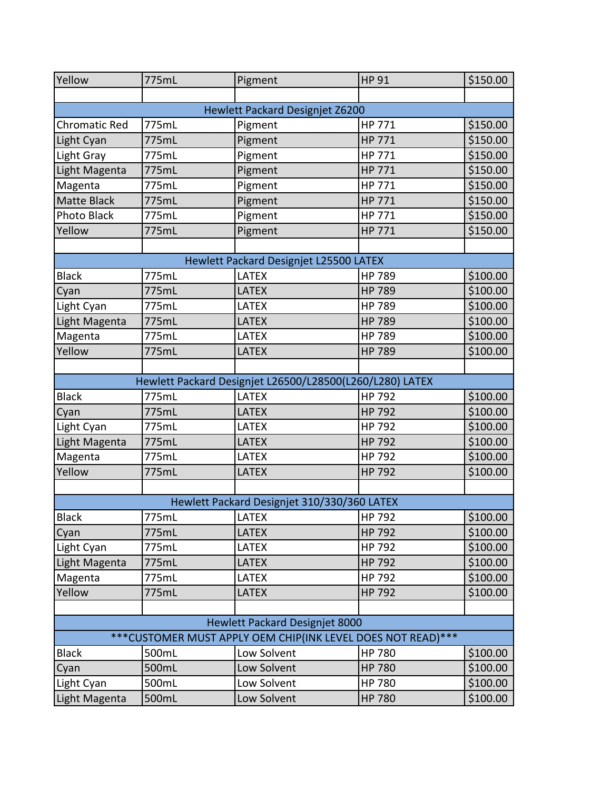| Yellow                                | 775mL | Pigment                                                      | <b>HP 91</b>  | \$150.00 |
|---------------------------------------|-------|--------------------------------------------------------------|---------------|----------|
|                                       |       |                                                              |               |          |
|                                       |       | Hewlett Packard Designjet Z6200                              |               |          |
| <b>Chromatic Red</b>                  | 775mL | Pigment                                                      | HP 771        | \$150.00 |
| Light Cyan                            | 775mL | Pigment                                                      | HP 771        | \$150.00 |
| Light Gray                            | 775mL | Pigment                                                      | HP 771        | \$150.00 |
| Light Magenta                         | 775mL | Pigment                                                      | HP 771        | \$150.00 |
| Magenta                               | 775mL | Pigment                                                      | HP 771        | \$150.00 |
| Matte Black                           | 775mL | Pigment                                                      | HP 771        | \$150.00 |
| Photo Black                           | 775mL | Pigment                                                      | HP 771        | \$150.00 |
| Yellow                                | 775mL | Pigment                                                      | HP 771        | \$150.00 |
|                                       |       |                                                              |               |          |
|                                       |       | Hewlett Packard Designjet L25500 LATEX                       |               |          |
| <b>Black</b>                          | 775mL | <b>LATEX</b>                                                 | <b>HP 789</b> | \$100.00 |
| Cyan                                  | 775mL | <b>LATEX</b>                                                 | <b>HP 789</b> | \$100.00 |
| Light Cyan                            | 775mL | LATEX                                                        | HP 789        | \$100.00 |
| Light Magenta                         | 775mL | <b>LATEX</b>                                                 | <b>HP 789</b> | \$100.00 |
| Magenta                               | 775mL | <b>LATEX</b>                                                 | HP 789        | \$100.00 |
| Yellow                                | 775mL | <b>LATEX</b>                                                 | <b>HP 789</b> | \$100.00 |
|                                       |       |                                                              |               |          |
|                                       |       | Hewlett Packard Designjet L26500/L28500(L260/L280) LATEX     |               |          |
| <b>Black</b>                          | 775mL | <b>LATEX</b>                                                 | HP 792        | \$100.00 |
| Cyan                                  | 775mL | <b>LATEX</b>                                                 | HP 792        | \$100.00 |
| Light Cyan                            | 775mL | <b>LATEX</b>                                                 | HP 792        | \$100.00 |
| Light Magenta                         | 775mL | <b>LATEX</b>                                                 | <b>HP 792</b> | \$100.00 |
| Magenta                               | 775mL | <b>LATEX</b>                                                 | HP 792        | \$100.00 |
| Yellow                                | 775mL | <b>LATEX</b>                                                 | HP 792        | \$100.00 |
|                                       |       |                                                              |               |          |
|                                       |       | Hewlett Packard Designjet 310/330/360 LATEX                  |               |          |
| <b>Black</b>                          | 775mL | <b>LATEX</b>                                                 | HP 792        | \$100.00 |
| Cyan                                  | 775mL | <b>LATEX</b>                                                 | <b>HP 792</b> | \$100.00 |
| Light Cyan                            | 775mL | <b>LATEX</b>                                                 | HP 792        | \$100.00 |
| Light Magenta                         | 775mL | <b>LATEX</b>                                                 | <b>HP 792</b> | \$100.00 |
| Magenta                               | 775mL | <b>LATEX</b>                                                 | HP 792        | \$100.00 |
| Yellow                                | 775mL | <b>LATEX</b>                                                 | <b>HP 792</b> | \$100.00 |
|                                       |       |                                                              |               |          |
| <b>Hewlett Packard Designjet 8000</b> |       |                                                              |               |          |
|                                       |       | *** CUSTOMER MUST APPLY OEM CHIP(INK LEVEL DOES NOT READ)*** |               |          |
| Black                                 | 500mL | Low Solvent                                                  | <b>HP 780</b> | \$100.00 |
| Cyan                                  | 500mL | Low Solvent                                                  | <b>HP 780</b> | \$100.00 |
| Light Cyan                            | 500mL | Low Solvent                                                  | <b>HP 780</b> | \$100.00 |
| Light Magenta                         | 500mL | Low Solvent                                                  | <b>HP 780</b> | \$100.00 |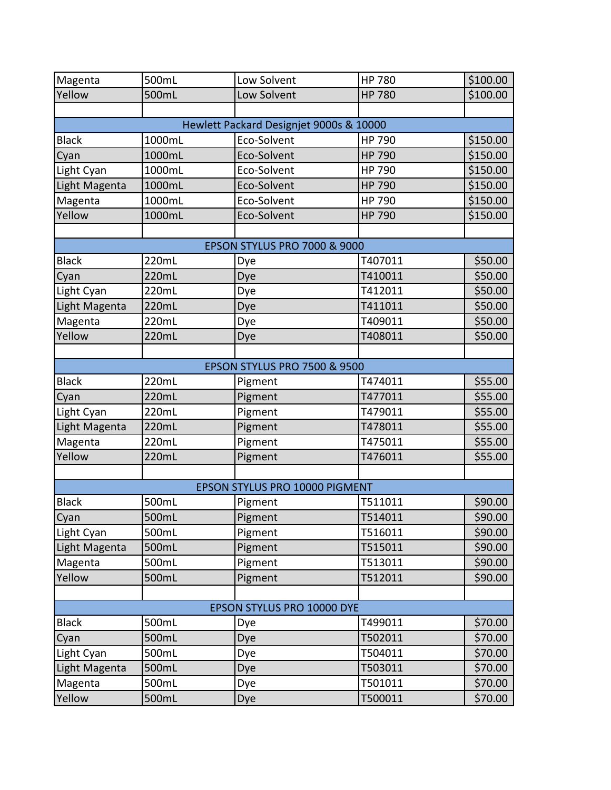| Magenta                    | 500mL  | Low Solvent                             | <b>HP 780</b> | \$100.00 |  |
|----------------------------|--------|-----------------------------------------|---------------|----------|--|
| Yellow                     | 500mL  | Low Solvent                             | <b>HP 780</b> | \$100.00 |  |
|                            |        |                                         |               |          |  |
|                            |        | Hewlett Packard Designjet 9000s & 10000 |               |          |  |
| <b>Black</b>               | 1000mL | Eco-Solvent                             | HP 790        | \$150.00 |  |
| Cyan                       | 1000mL | Eco-Solvent                             | <b>HP 790</b> | \$150.00 |  |
| Light Cyan                 | 1000mL | Eco-Solvent                             | <b>HP 790</b> | \$150.00 |  |
| Light Magenta              | 1000mL | Eco-Solvent                             | <b>HP 790</b> | \$150.00 |  |
| Magenta                    | 1000mL | Eco-Solvent                             | <b>HP 790</b> | \$150.00 |  |
| Yellow                     | 1000mL | Eco-Solvent                             | <b>HP 790</b> | \$150.00 |  |
|                            |        |                                         |               |          |  |
|                            |        | <b>EPSON STYLUS PRO 7000 &amp; 9000</b> |               |          |  |
| <b>Black</b>               | 220mL  | Dye                                     | T407011       | \$50.00  |  |
| Cyan                       | 220mL  | Dye                                     | T410011       | \$50.00  |  |
| Light Cyan                 | 220mL  | Dye                                     | T412011       | \$50.00  |  |
| Light Magenta              | 220mL  | Dye                                     | T411011       | \$50.00  |  |
| Magenta                    | 220mL  | Dye                                     | T409011       | \$50.00  |  |
| Yellow                     | 220mL  | Dye                                     | T408011       | \$50.00  |  |
|                            |        |                                         |               |          |  |
|                            |        | <b>EPSON STYLUS PRO 7500 &amp; 9500</b> |               |          |  |
| <b>Black</b>               | 220mL  | Pigment                                 | T474011       | \$55.00  |  |
| Cyan                       | 220mL  | Pigment                                 | T477011       | \$55.00  |  |
| Light Cyan                 | 220mL  | Pigment                                 | T479011       | \$55.00  |  |
| Light Magenta              | 220mL  | Pigment                                 | T478011       | \$55.00  |  |
| Magenta                    | 220mL  | Pigment                                 | T475011       | \$55.00  |  |
| Yellow                     | 220mL  | Pigment                                 | T476011       | \$55.00  |  |
|                            |        |                                         |               |          |  |
|                            |        | EPSON STYLUS PRO 10000 PIGMENT          |               |          |  |
| <b>Black</b>               | 500mL  | Pigment                                 | T511011       | \$90.00  |  |
| Cyan                       | 500mL  | Pigment                                 | T514011       | \$90.00  |  |
| Light Cyan                 | 500mL  | Pigment                                 | T516011       | \$90.00  |  |
| Light Magenta              | 500mL  | Pigment                                 | T515011       | \$90.00  |  |
| Magenta                    | 500mL  | Pigment                                 | T513011       | \$90.00  |  |
| Yellow                     | 500mL  | Pigment                                 | T512011       | \$90.00  |  |
|                            |        |                                         |               |          |  |
| EPSON STYLUS PRO 10000 DYE |        |                                         |               |          |  |
| <b>Black</b>               | 500mL  | Dye                                     | T499011       | \$70.00  |  |
| Cyan                       | 500mL  | Dye                                     | T502011       | \$70.00  |  |
| Light Cyan                 | 500mL  | Dye                                     | T504011       | \$70.00  |  |
| Light Magenta              | 500mL  | Dye                                     | T503011       | \$70.00  |  |
| Magenta                    | 500mL  | Dye                                     | T501011       | \$70.00  |  |
| Yellow                     | 500mL  | Dye                                     | T500011       | \$70.00  |  |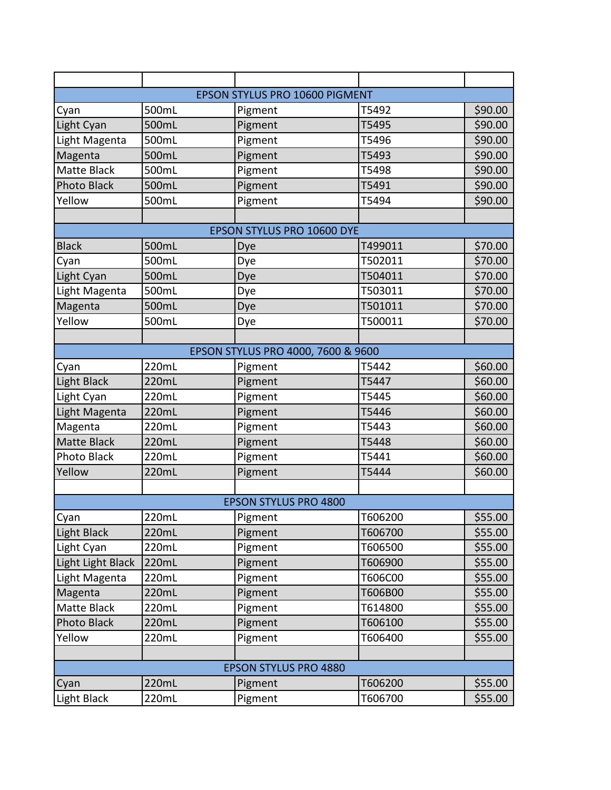|                    |       | EPSON STYLUS PRO 10600 PIGMENT     |         |         |
|--------------------|-------|------------------------------------|---------|---------|
| Cyan               | 500mL | Pigment                            | T5492   | \$90.00 |
| Light Cyan         | 500mL | Pigment                            | T5495   | \$90.00 |
| Light Magenta      | 500mL | Pigment                            | T5496   | \$90.00 |
| Magenta            | 500mL | Pigment                            | T5493   | \$90.00 |
| Matte Black        | 500mL | Pigment                            | T5498   | \$90.00 |
| <b>Photo Black</b> | 500mL | Pigment                            | T5491   | \$90.00 |
| Yellow             | 500mL | Pigment                            | T5494   | \$90.00 |
|                    |       |                                    |         |         |
|                    |       | EPSON STYLUS PRO 10600 DYE         |         |         |
| <b>Black</b>       | 500mL | Dye                                | T499011 | \$70.00 |
| Cyan               | 500mL | Dye                                | T502011 | \$70.00 |
| Light Cyan         | 500mL | Dye                                | T504011 | \$70.00 |
| Light Magenta      | 500mL | Dye                                | T503011 | \$70.00 |
| Magenta            | 500mL | Dye                                | T501011 | \$70.00 |
| Yellow             | 500mL | Dye                                | T500011 | \$70.00 |
|                    |       |                                    |         |         |
|                    |       | EPSON STYLUS PRO 4000, 7600 & 9600 |         |         |
| Cyan               | 220mL | Pigment                            | T5442   | \$60.00 |
| Light Black        | 220mL | Pigment                            | T5447   | \$60.00 |
| Light Cyan         | 220mL | Pigment                            | T5445   | \$60.00 |
| Light Magenta      | 220mL | Pigment                            | T5446   | \$60.00 |
| Magenta            | 220mL | Pigment                            | T5443   | \$60.00 |
| <b>Matte Black</b> | 220mL | Pigment                            | T5448   | \$60.00 |
| Photo Black        | 220mL | Pigment                            | T5441   | \$60.00 |
| Yellow             | 220mL | Pigment                            | T5444   | \$60.00 |
|                    |       |                                    |         |         |
|                    |       | <b>EPSON STYLUS PRO 4800</b>       |         |         |
| Cyan               | 220mL | Pigment                            | T606200 | \$55.00 |
| <b>Light Black</b> | 220mL | Pigment                            | T606700 | \$55.00 |
| Light Cyan         | 220mL | Pigment                            | T606500 | \$55.00 |
| Light Light Black  | 220mL | Pigment                            | T606900 | \$55.00 |
| Light Magenta      | 220mL | Pigment                            | T606C00 | \$55.00 |
| Magenta            | 220mL | Pigment                            | T606B00 | \$55.00 |
| Matte Black        | 220mL | Pigment                            | T614800 | \$55.00 |
| <b>Photo Black</b> | 220mL | Pigment                            | T606100 | \$55.00 |
| Yellow             | 220mL | Pigment                            | T606400 | \$55.00 |
|                    |       |                                    |         |         |
|                    |       | <b>EPSON STYLUS PRO 4880</b>       |         |         |
| Cyan               | 220mL | Pigment                            | T606200 | \$55.00 |
| Light Black        | 220mL | Pigment                            | T606700 | \$55.00 |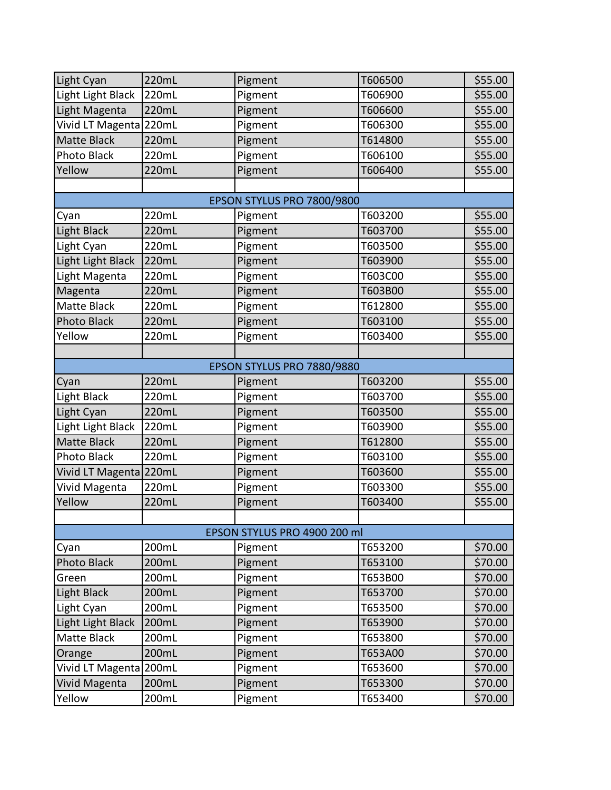| Light Cyan             | 220mL                      | Pigment                      | T606500 | \$55.00 |  |  |
|------------------------|----------------------------|------------------------------|---------|---------|--|--|
| Light Light Black      | 220mL                      | Pigment                      | T606900 | \$55.00 |  |  |
| Light Magenta          | 220mL                      | Pigment                      | T606600 | \$55.00 |  |  |
| Vivid LT Magenta 220mL |                            | Pigment                      | T606300 | \$55.00 |  |  |
| <b>Matte Black</b>     | 220mL                      | Pigment                      | T614800 | \$55.00 |  |  |
| Photo Black            | 220mL                      | Pigment                      | T606100 | \$55.00 |  |  |
| Yellow                 | 220mL                      | Pigment                      | T606400 | \$55.00 |  |  |
|                        |                            |                              |         |         |  |  |
|                        | EPSON STYLUS PRO 7800/9800 |                              |         |         |  |  |
| Cyan                   | 220mL                      | Pigment                      | T603200 | \$55.00 |  |  |
| <b>Light Black</b>     | 220mL                      | Pigment                      | T603700 | \$55.00 |  |  |
| Light Cyan             | 220mL                      | Pigment                      | T603500 | \$55.00 |  |  |
| Light Light Black      | 220mL                      | Pigment                      | T603900 | \$55.00 |  |  |
| Light Magenta          | 220mL                      | Pigment                      | T603C00 | \$55.00 |  |  |
| Magenta                | 220mL                      | Pigment                      | T603B00 | \$55.00 |  |  |
| Matte Black            | 220mL                      | Pigment                      | T612800 | \$55.00 |  |  |
| <b>Photo Black</b>     | 220mL                      | Pigment                      | T603100 | \$55.00 |  |  |
| Yellow                 | 220mL                      | Pigment                      | T603400 | \$55.00 |  |  |
|                        |                            |                              |         |         |  |  |
|                        |                            | EPSON STYLUS PRO 7880/9880   |         |         |  |  |
| Cyan                   | 220mL                      | Pigment                      | T603200 | \$55.00 |  |  |
| Light Black            | 220mL                      | Pigment                      | T603700 | \$55.00 |  |  |
| Light Cyan             | 220mL                      | Pigment                      | T603500 | \$55.00 |  |  |
| Light Light Black      | 220mL                      | Pigment                      | T603900 | \$55.00 |  |  |
| <b>Matte Black</b>     | 220mL                      | Pigment                      | T612800 | \$55.00 |  |  |
| Photo Black            | 220mL                      | Pigment                      | T603100 | \$55.00 |  |  |
| Vivid LT Magenta 220mL |                            | Pigment                      | T603600 | \$55.00 |  |  |
| Vivid Magenta          | 220mL                      | Pigment                      | T603300 | \$55.00 |  |  |
| Yellow                 | 220mL                      | Pigment                      | T603400 | \$55.00 |  |  |
|                        |                            |                              |         |         |  |  |
|                        |                            | EPSON STYLUS PRO 4900 200 ml |         |         |  |  |
| Cyan                   | 200mL                      | Pigment                      | T653200 | \$70.00 |  |  |
| Photo Black            | 200mL                      | Pigment                      | T653100 | \$70.00 |  |  |
| Green                  | 200mL                      | Pigment                      | T653B00 | \$70.00 |  |  |
| <b>Light Black</b>     | 200mL                      | Pigment                      | T653700 | \$70.00 |  |  |
| Light Cyan             | 200mL                      | Pigment                      | T653500 | \$70.00 |  |  |
| Light Light Black      | 200mL                      | Pigment                      | T653900 | \$70.00 |  |  |
| Matte Black            | 200mL                      | Pigment                      | T653800 | \$70.00 |  |  |
| Orange                 | 200mL                      | Pigment                      | T653A00 | \$70.00 |  |  |
| Vivid LT Magenta 200mL |                            | Pigment                      | T653600 | \$70.00 |  |  |
| Vivid Magenta          | 200mL                      | Pigment                      | T653300 | \$70.00 |  |  |
| Yellow                 | 200mL                      | Pigment                      | T653400 | \$70.00 |  |  |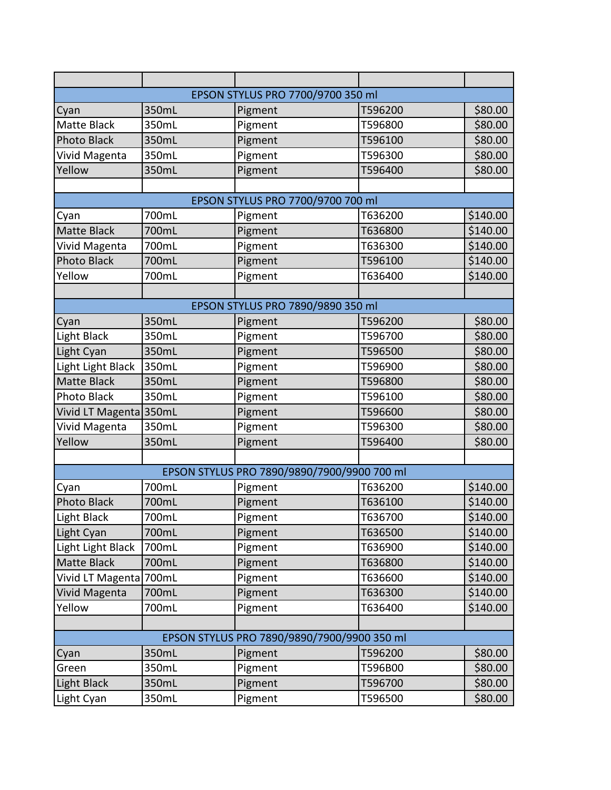|                        |       | EPSON STYLUS PRO 7700/9700 350 ml           |         |          |
|------------------------|-------|---------------------------------------------|---------|----------|
| Cyan                   | 350mL | Pigment                                     | T596200 | \$80.00  |
| Matte Black            | 350mL | Pigment                                     | T596800 | \$80.00  |
| Photo Black            | 350mL | Pigment                                     | T596100 | \$80.00  |
| Vivid Magenta          | 350mL | Pigment                                     | T596300 | \$80.00  |
| Yellow                 | 350mL | Pigment                                     | T596400 | \$80.00  |
|                        |       |                                             |         |          |
|                        |       | EPSON STYLUS PRO 7700/9700 700 ml           |         |          |
| Cyan                   | 700mL | Pigment                                     | T636200 | \$140.00 |
| <b>Matte Black</b>     | 700mL | Pigment                                     | T636800 | \$140.00 |
| Vivid Magenta          | 700mL | Pigment                                     | T636300 | \$140.00 |
| <b>Photo Black</b>     | 700mL | Pigment                                     | T596100 | \$140.00 |
| Yellow                 | 700mL | Pigment                                     | T636400 | \$140.00 |
|                        |       |                                             |         |          |
|                        |       | EPSON STYLUS PRO 7890/9890 350 ml           |         |          |
| Cyan                   | 350mL | Pigment                                     | T596200 | \$80.00  |
| Light Black            | 350mL | Pigment                                     | T596700 | \$80.00  |
| Light Cyan             | 350mL | Pigment                                     | T596500 | \$80.00  |
| Light Light Black      | 350mL | Pigment                                     | T596900 | \$80.00  |
| <b>Matte Black</b>     | 350mL | Pigment                                     | T596800 | \$80.00  |
| Photo Black            | 350mL | Pigment                                     | T596100 | \$80.00  |
| Vivid LT Magenta 350mL |       | Pigment                                     | T596600 | \$80.00  |
| Vivid Magenta          | 350mL | Pigment                                     | T596300 | \$80.00  |
| Yellow                 | 350mL | Pigment                                     | T596400 | \$80.00  |
|                        |       |                                             |         |          |
|                        |       | EPSON STYLUS PRO 7890/9890/7900/9900 700 ml |         |          |
| Cyan                   | 700mL | Pigment                                     | T636200 | \$140.00 |
| <b>Photo Black</b>     | 700mL | Pigment                                     | T636100 | \$140.00 |
| Light Black            | 700mL | Pigment                                     | T636700 | \$140.00 |
| Light Cyan             | 700mL | Pigment                                     | T636500 | \$140.00 |
| Light Light Black      | 700mL | Pigment                                     | T636900 | \$140.00 |
| Matte Black            | 700mL | Pigment                                     | T636800 | \$140.00 |
| Vivid LT Magenta 700mL |       | Pigment                                     | T636600 | \$140.00 |
| <b>Vivid Magenta</b>   | 700mL | Pigment                                     | T636300 | \$140.00 |
| Yellow                 | 700mL | Pigment                                     | T636400 | \$140.00 |
|                        |       |                                             |         |          |
|                        |       | EPSON STYLUS PRO 7890/9890/7900/9900 350 ml |         |          |
| Cyan                   | 350mL | Pigment                                     | T596200 | \$80.00  |
| Green                  | 350mL | Pigment                                     | T596B00 | \$80.00  |
| <b>Light Black</b>     | 350mL | Pigment                                     | T596700 | \$80.00  |
| Light Cyan             | 350mL | Pigment                                     | T596500 | \$80.00  |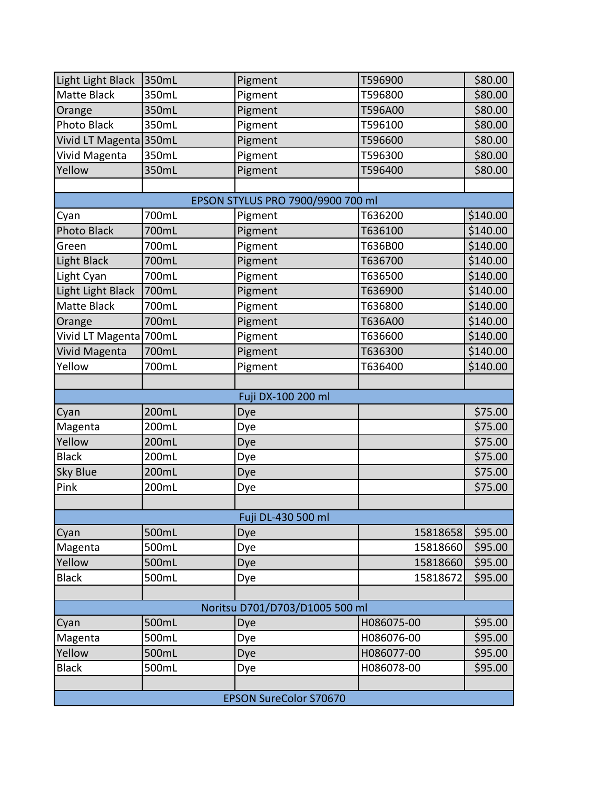| Light Light Black             | 350mL | Pigment                           | T596900    | \$80.00  |
|-------------------------------|-------|-----------------------------------|------------|----------|
| <b>Matte Black</b>            | 350mL | Pigment                           | T596800    | \$80.00  |
| Orange                        | 350mL | Pigment                           | T596A00    | \$80.00  |
| <b>Photo Black</b>            | 350mL | Pigment                           | T596100    | \$80.00  |
| Vivid LT Magenta 350mL        |       | Pigment                           | T596600    | \$80.00  |
| Vivid Magenta                 | 350mL | Pigment                           | T596300    | \$80.00  |
| Yellow                        | 350mL | Pigment                           | T596400    | \$80.00  |
|                               |       |                                   |            |          |
|                               |       | EPSON STYLUS PRO 7900/9900 700 ml |            |          |
| Cyan                          | 700mL | Pigment                           | T636200    | \$140.00 |
| Photo Black                   | 700mL | Pigment                           | T636100    | \$140.00 |
| Green                         | 700mL | Pigment                           | T636B00    | \$140.00 |
| Light Black                   | 700mL | Pigment                           | T636700    | \$140.00 |
| Light Cyan                    | 700mL | Pigment                           | T636500    | \$140.00 |
| Light Light Black             | 700mL | Pigment                           | T636900    | \$140.00 |
| <b>Matte Black</b>            | 700mL | Pigment                           | T636800    | \$140.00 |
| Orange                        | 700mL | Pigment                           | T636A00    | \$140.00 |
| Vivid LT Magenta 700mL        |       | Pigment                           | T636600    | \$140.00 |
| Vivid Magenta                 | 700mL | Pigment                           | T636300    | \$140.00 |
| Yellow                        | 700mL | Pigment                           | T636400    | \$140.00 |
|                               |       |                                   |            |          |
|                               |       | Fuji DX-100 200 ml                |            |          |
| Cyan                          | 200mL | Dye                               |            | \$75.00  |
| Magenta                       | 200mL | Dye                               |            | \$75.00  |
| Yellow                        | 200mL | Dye                               |            | \$75.00  |
| <b>Black</b>                  | 200mL | Dye                               |            | \$75.00  |
| <b>Sky Blue</b>               | 200mL | Dye                               |            | \$75.00  |
| Pink                          | 200mL | Dye                               |            | \$75.00  |
|                               |       |                                   |            |          |
|                               |       | Fuji DL-430 500 ml                |            |          |
| Cyan                          | 500mL | Dye                               | 15818658   | \$95.00  |
| Magenta                       | 500mL | Dye                               | 15818660   | \$95.00  |
| Yellow                        | 500mL | Dye                               | 15818660   | \$95.00  |
| <b>Black</b>                  | 500mL | Dye                               | 15818672   | \$95.00  |
|                               |       |                                   |            |          |
|                               |       | Noritsu D701/D703/D1005 500 ml    |            |          |
| Cyan                          | 500mL | Dye                               | H086075-00 | \$95.00  |
| Magenta                       | 500mL | Dye                               | H086076-00 | \$95.00  |
| Yellow                        | 500mL | Dye                               | H086077-00 | \$95.00  |
| Black                         | 500mL | Dye                               | H086078-00 | \$95.00  |
|                               |       |                                   |            |          |
| <b>EPSON SureColor S70670</b> |       |                                   |            |          |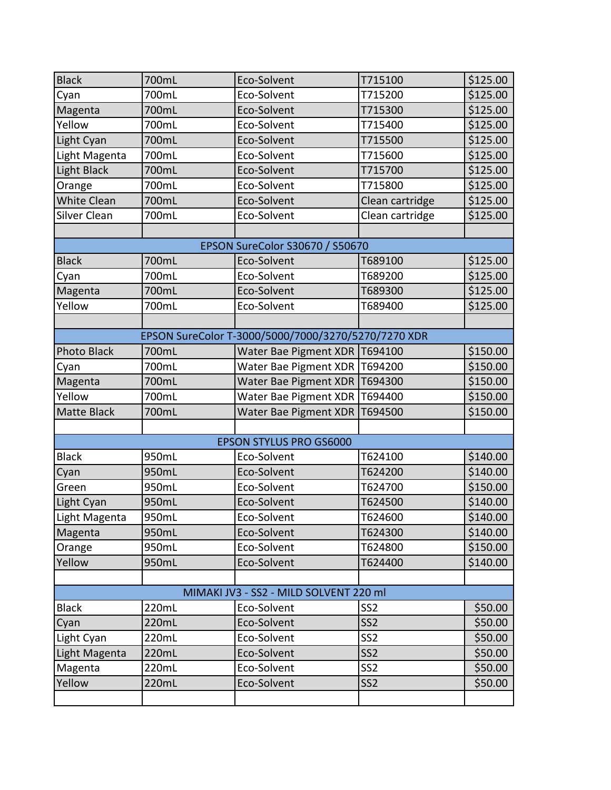| <b>Black</b>                           | 700mL | Eco-Solvent                                         | T715100         | \$125.00 |  |
|----------------------------------------|-------|-----------------------------------------------------|-----------------|----------|--|
| Cyan                                   | 700mL | Eco-Solvent                                         | T715200         | \$125.00 |  |
| Magenta                                | 700mL | Eco-Solvent                                         | T715300         | \$125.00 |  |
| Yellow                                 | 700mL | Eco-Solvent                                         | T715400         | \$125.00 |  |
| Light Cyan                             | 700mL | Eco-Solvent                                         | T715500         | \$125.00 |  |
| Light Magenta                          | 700mL | Eco-Solvent                                         | T715600         | \$125.00 |  |
| <b>Light Black</b>                     | 700mL | Eco-Solvent                                         | T715700         | \$125.00 |  |
| Orange                                 | 700mL | Eco-Solvent                                         | T715800         | \$125.00 |  |
| <b>White Clean</b>                     | 700mL | Eco-Solvent                                         | Clean cartridge | \$125.00 |  |
| Silver Clean                           | 700mL | Eco-Solvent                                         | Clean cartridge | \$125.00 |  |
|                                        |       |                                                     |                 |          |  |
|                                        |       | <b>EPSON SureColor S30670 / S50670</b>              |                 |          |  |
| <b>Black</b>                           | 700mL | Eco-Solvent                                         | T689100         | \$125.00 |  |
| Cyan                                   | 700mL | Eco-Solvent                                         | T689200         | \$125.00 |  |
| Magenta                                | 700mL | Eco-Solvent                                         | T689300         | \$125.00 |  |
| Yellow                                 | 700mL | Eco-Solvent                                         | T689400         | \$125.00 |  |
|                                        |       |                                                     |                 |          |  |
|                                        |       | EPSON SureColor T-3000/5000/7000/3270/5270/7270 XDR |                 |          |  |
| Photo Black                            | 700mL | Water Bae Pigment XDR   T694100                     |                 | \$150.00 |  |
| Cyan                                   | 700mL | <b>Water Bae Pigment XDR</b>                        | T694200         | \$150.00 |  |
| Magenta                                | 700mL | <b>Water Bae Pigment XDR</b>                        | T694300         | \$150.00 |  |
| Yellow                                 | 700mL | <b>Water Bae Pigment XDR</b>                        | T694400         | \$150.00 |  |
| <b>Matte Black</b>                     | 700mL | <b>Water Bae Pigment XDR</b>                        | T694500         | \$150.00 |  |
|                                        |       |                                                     |                 |          |  |
|                                        |       | <b>EPSON STYLUS PRO GS6000</b>                      |                 |          |  |
| <b>Black</b>                           | 950mL | Eco-Solvent                                         | T624100         | \$140.00 |  |
| Cyan                                   | 950mL | Eco-Solvent                                         | T624200         | \$140.00 |  |
| Green                                  | 950mL | Eco-Solvent                                         | T624700         | \$150.00 |  |
| Light Cyan                             | 950mL | Eco-Solvent                                         | T624500         | \$140.00 |  |
| Light Magenta                          | 950mL | Eco-Solvent                                         | T624600         | \$140.00 |  |
| Magenta                                | 950mL | Eco-Solvent                                         | T624300         | \$140.00 |  |
| Orange                                 | 950mL | Eco-Solvent                                         | T624800         | \$150.00 |  |
| Yellow                                 | 950mL | Eco-Solvent                                         | T624400         | \$140.00 |  |
|                                        |       |                                                     |                 |          |  |
| MIMAKI JV3 - SS2 - MILD SOLVENT 220 ml |       |                                                     |                 |          |  |
| <b>Black</b>                           | 220mL | Eco-Solvent                                         | SS <sub>2</sub> | \$50.00  |  |
| Cyan                                   | 220mL | Eco-Solvent                                         | SS <sub>2</sub> | \$50.00  |  |
| Light Cyan                             | 220mL | Eco-Solvent                                         | SS <sub>2</sub> | \$50.00  |  |
| Light Magenta                          | 220mL | Eco-Solvent                                         | SS <sub>2</sub> | \$50.00  |  |
| Magenta                                | 220mL | Eco-Solvent                                         | SS <sub>2</sub> | \$50.00  |  |
| Yellow                                 | 220mL | Eco-Solvent                                         | SS <sub>2</sub> | \$50.00  |  |
|                                        |       |                                                     |                 |          |  |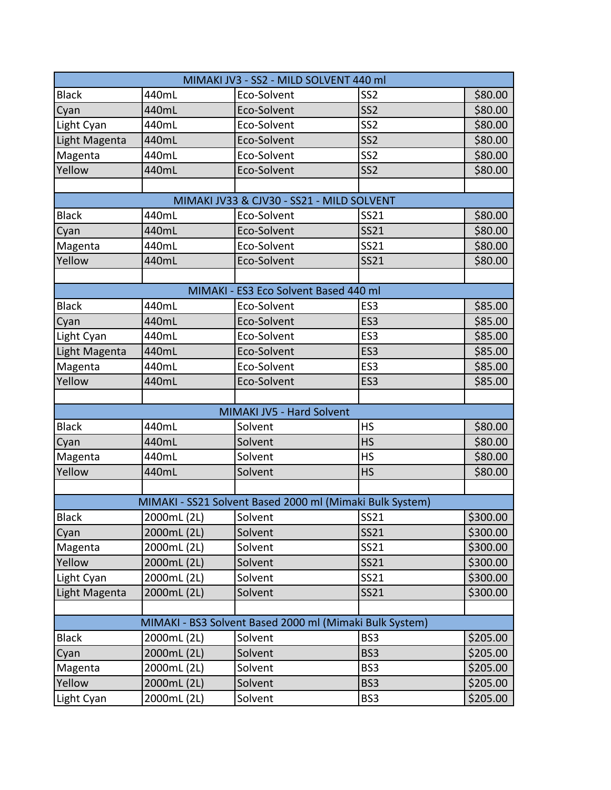| MIMAKI JV3 - SS2 - MILD SOLVENT 440 ml |             |                                                          |                 |          |
|----------------------------------------|-------------|----------------------------------------------------------|-----------------|----------|
| <b>Black</b>                           | 440mL       | Eco-Solvent                                              | SS <sub>2</sub> | \$80.00  |
| Cyan                                   | 440mL       | Eco-Solvent                                              | SS <sub>2</sub> | \$80.00  |
| Light Cyan                             | 440mL       | Eco-Solvent                                              | SS <sub>2</sub> | \$80.00  |
| Light Magenta                          | 440mL       | Eco-Solvent                                              | SS <sub>2</sub> | \$80.00  |
| Magenta                                | 440mL       | Eco-Solvent                                              | SS <sub>2</sub> | \$80.00  |
| Yellow                                 | 440mL       | Eco-Solvent                                              | SS <sub>2</sub> | \$80.00  |
|                                        |             |                                                          |                 |          |
|                                        |             | MIMAKI JV33 & CJV30 - SS21 - MILD SOLVENT                |                 |          |
| <b>Black</b>                           | 440mL       | Eco-Solvent                                              | <b>SS21</b>     | \$80.00  |
| Cyan                                   | 440mL       | Eco-Solvent                                              | <b>SS21</b>     | \$80.00  |
| Magenta                                | 440mL       | Eco-Solvent                                              | SS21            | \$80.00  |
| Yellow                                 | 440mL       | Eco-Solvent                                              | <b>SS21</b>     | \$80.00  |
|                                        |             |                                                          |                 |          |
|                                        |             | MIMAKI - ES3 Eco Solvent Based 440 ml                    |                 |          |
| <b>Black</b>                           | 440mL       | Eco-Solvent                                              | ES <sub>3</sub> | \$85.00  |
| Cyan                                   | 440mL       | Eco-Solvent                                              | ES <sub>3</sub> | \$85.00  |
| Light Cyan                             | 440mL       | Eco-Solvent                                              | ES <sub>3</sub> | \$85.00  |
| Light Magenta                          | 440mL       | Eco-Solvent                                              | ES <sub>3</sub> | \$85.00  |
| Magenta                                | 440mL       | Eco-Solvent                                              | ES <sub>3</sub> | \$85.00  |
| Yellow                                 | 440mL       | Eco-Solvent                                              | ES <sub>3</sub> | \$85.00  |
|                                        |             |                                                          |                 |          |
|                                        |             | MIMAKI JV5 - Hard Solvent                                |                 |          |
| <b>Black</b>                           | 440mL       | Solvent                                                  | <b>HS</b>       | \$80.00  |
| Cyan                                   | 440mL       | Solvent                                                  | <b>HS</b>       | \$80.00  |
| Magenta                                | 440mL       | Solvent                                                  | <b>HS</b>       | \$80.00  |
| Yellow                                 | 440mL       | Solvent                                                  | <b>HS</b>       | \$80.00  |
|                                        |             |                                                          |                 |          |
|                                        |             | MIMAKI - SS21 Solvent Based 2000 ml (Mimaki Bulk System) |                 |          |
| <b>Black</b>                           | 2000mL (2L) | Solvent                                                  | <b>SS21</b>     | \$300.00 |
| Cyan                                   | 2000mL (2L) | Solvent                                                  | <b>SS21</b>     | \$300.00 |
| Magenta                                | 2000mL (2L) | Solvent                                                  | SS21            | \$300.00 |
| Yellow                                 | 2000mL (2L) | Solvent                                                  | <b>SS21</b>     | \$300.00 |
| Light Cyan                             | 2000mL (2L) | Solvent                                                  | SS21            | \$300.00 |
| Light Magenta                          | 2000mL (2L) | Solvent                                                  | <b>SS21</b>     | \$300.00 |
|                                        |             |                                                          |                 |          |
|                                        |             | MIMAKI - BS3 Solvent Based 2000 ml (Mimaki Bulk System)  |                 |          |
| <b>Black</b>                           | 2000mL (2L) | Solvent                                                  | BS3             | \$205.00 |
| Cyan                                   | 2000mL (2L) | Solvent                                                  | BS3             | \$205.00 |
| Magenta                                | 2000mL (2L) | Solvent                                                  | BS3             | \$205.00 |
| Yellow                                 | 2000mL (2L) | Solvent                                                  | BS3             | \$205.00 |
| Light Cyan                             | 2000mL (2L) | Solvent                                                  | BS3             | \$205.00 |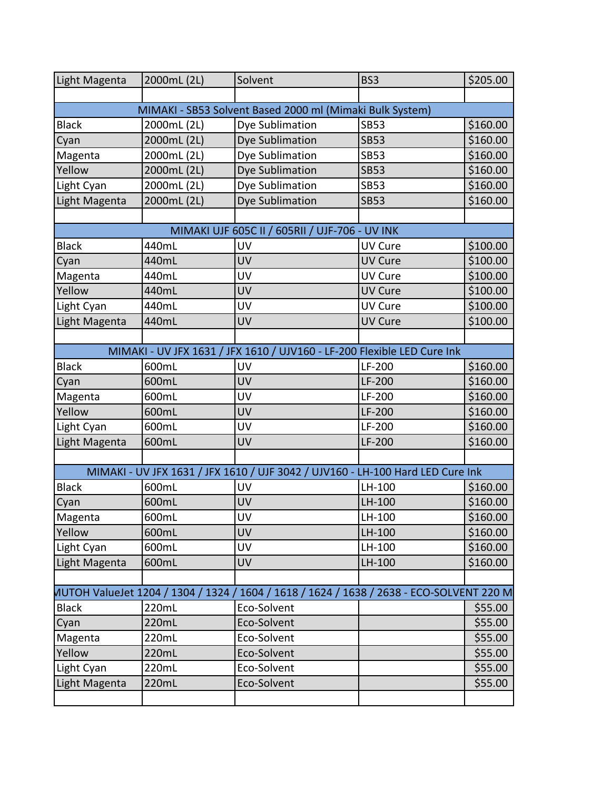| Light Magenta | 2000mL (2L)                                              | Solvent                                                                                  | BS3            | \$205.00 |  |  |
|---------------|----------------------------------------------------------|------------------------------------------------------------------------------------------|----------------|----------|--|--|
|               |                                                          |                                                                                          |                |          |  |  |
|               | MIMAKI - SB53 Solvent Based 2000 ml (Mimaki Bulk System) |                                                                                          |                |          |  |  |
| <b>Black</b>  | 2000mL (2L)                                              | Dye Sublimation                                                                          | <b>SB53</b>    | \$160.00 |  |  |
| Cyan          | 2000mL (2L)                                              | Dye Sublimation                                                                          | <b>SB53</b>    | \$160.00 |  |  |
| Magenta       | 2000mL (2L)                                              | Dye Sublimation                                                                          | <b>SB53</b>    | \$160.00 |  |  |
| Yellow        | 2000mL (2L)                                              | Dye Sublimation                                                                          | <b>SB53</b>    | \$160.00 |  |  |
| Light Cyan    | 2000mL (2L)                                              | Dye Sublimation                                                                          | <b>SB53</b>    | \$160.00 |  |  |
| Light Magenta | 2000mL (2L)                                              | Dye Sublimation                                                                          | <b>SB53</b>    | \$160.00 |  |  |
|               |                                                          |                                                                                          |                |          |  |  |
|               |                                                          | MIMAKI UJF 605C II / 605RII / UJF-706 - UV INK                                           |                |          |  |  |
| <b>Black</b>  | 440mL                                                    | UV                                                                                       | <b>UV Cure</b> | \$100.00 |  |  |
| Cyan          | 440mL                                                    | UV                                                                                       | <b>UV Cure</b> | \$100.00 |  |  |
| Magenta       | 440mL                                                    | UV                                                                                       | UV Cure        | \$100.00 |  |  |
| Yellow        | 440mL                                                    | UV                                                                                       | <b>UV Cure</b> | \$100.00 |  |  |
| Light Cyan    | 440mL                                                    | UV                                                                                       | UV Cure        | \$100.00 |  |  |
| Light Magenta | 440mL                                                    | UV                                                                                       | <b>UV Cure</b> | \$100.00 |  |  |
|               |                                                          |                                                                                          |                |          |  |  |
|               |                                                          | MIMAKI - UV JFX 1631 / JFX 1610 / UJV160 - LF-200 Flexible LED Cure Ink                  |                |          |  |  |
| <b>Black</b>  | 600mL                                                    | UV                                                                                       | LF-200         | \$160.00 |  |  |
| Cyan          | 600mL                                                    | UV                                                                                       | LF-200         | \$160.00 |  |  |
| Magenta       | 600mL                                                    | UV                                                                                       | LF-200         | \$160.00 |  |  |
| Yellow        | 600mL                                                    | UV                                                                                       | LF-200         | \$160.00 |  |  |
| Light Cyan    | 600mL                                                    | UV                                                                                       | LF-200         | \$160.00 |  |  |
| Light Magenta | 600mL                                                    | UV                                                                                       | LF-200         | \$160.00 |  |  |
|               |                                                          |                                                                                          |                |          |  |  |
|               |                                                          | MIMAKI - UV JFX 1631 / JFX 1610 / UJF 3042 / UJV160 - LH-100 Hard LED Cure Ink           |                |          |  |  |
| <b>Black</b>  | 600mL                                                    | UV                                                                                       | LH-100         | \$160.00 |  |  |
| Cyan          | 600mL                                                    | UV                                                                                       | LH-100         | \$160.00 |  |  |
| Magenta       | 600mL                                                    | <b>UV</b>                                                                                | LH-100         | \$160.00 |  |  |
| Yellow        | 600mL                                                    | <b>UV</b>                                                                                | LH-100         | \$160.00 |  |  |
| Light Cyan    | 600mL                                                    | UV                                                                                       | LH-100         | \$160.00 |  |  |
| Light Magenta | 600mL                                                    | UV                                                                                       | LH-100         | \$160.00 |  |  |
|               |                                                          |                                                                                          |                |          |  |  |
|               |                                                          | MUTOH ValueJet 1204 / 1304 / 1324 / 1604 / 1618 / 1624 / 1638 / 2638 - ECO-SOLVENT 220 M |                |          |  |  |
| <b>Black</b>  | 220mL                                                    | Eco-Solvent                                                                              |                | \$55.00  |  |  |
| Cyan          | 220mL                                                    | Eco-Solvent                                                                              |                | \$55.00  |  |  |
| Magenta       | 220mL                                                    | Eco-Solvent                                                                              |                | \$55.00  |  |  |
| Yellow        | 220mL                                                    | Eco-Solvent                                                                              |                | \$55.00  |  |  |
| Light Cyan    | 220mL                                                    | Eco-Solvent                                                                              |                | \$55.00  |  |  |
| Light Magenta | 220mL                                                    | Eco-Solvent                                                                              |                | \$55.00  |  |  |
|               |                                                          |                                                                                          |                |          |  |  |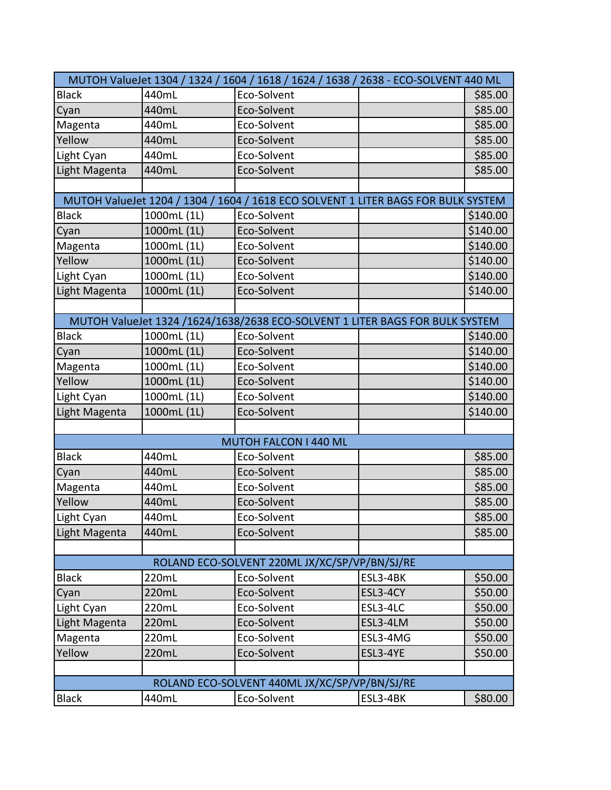| MUTOH ValueJet 1304 / 1324 / 1604 / 1618 / 1624 / 1638 / 2638 - ECO-SOLVENT 440 ML |             |                                                                                   |          |          |  |
|------------------------------------------------------------------------------------|-------------|-----------------------------------------------------------------------------------|----------|----------|--|
| <b>Black</b>                                                                       | 440mL       | Eco-Solvent                                                                       |          | \$85.00  |  |
| Cyan                                                                               | 440mL       | Eco-Solvent                                                                       |          | \$85.00  |  |
| Magenta                                                                            | 440mL       | Eco-Solvent                                                                       |          | \$85.00  |  |
| Yellow                                                                             | 440mL       | Eco-Solvent                                                                       |          | \$85.00  |  |
| Light Cyan                                                                         | 440mL       | Eco-Solvent                                                                       |          | \$85.00  |  |
| Light Magenta                                                                      | 440mL       | Eco-Solvent                                                                       |          | \$85.00  |  |
|                                                                                    |             |                                                                                   |          |          |  |
|                                                                                    |             | MUTOH ValueJet 1204 / 1304 / 1604 / 1618 ECO SOLVENT 1 LITER BAGS FOR BULK SYSTEM |          |          |  |
| <b>Black</b>                                                                       | 1000mL (1L) | Eco-Solvent                                                                       |          | \$140.00 |  |
| Cyan                                                                               | 1000mL (1L) | Eco-Solvent                                                                       |          | \$140.00 |  |
| Magenta                                                                            | 1000mL (1L) | Eco-Solvent                                                                       |          | \$140.00 |  |
| Yellow                                                                             | 1000mL (1L) | Eco-Solvent                                                                       |          | \$140.00 |  |
| Light Cyan                                                                         | 1000mL (1L) | Eco-Solvent                                                                       |          | \$140.00 |  |
| Light Magenta                                                                      | 1000mL (1L) | Eco-Solvent                                                                       |          | \$140.00 |  |
|                                                                                    |             |                                                                                   |          |          |  |
|                                                                                    |             | MUTOH ValueJet 1324 /1624/1638/2638 ECO-SOLVENT 1 LITER BAGS FOR BULK SYSTEM      |          |          |  |
| <b>Black</b>                                                                       | 1000mL (1L) | Eco-Solvent                                                                       |          | \$140.00 |  |
| Cyan                                                                               | 1000mL (1L) | Eco-Solvent                                                                       |          | \$140.00 |  |
| Magenta                                                                            | 1000mL (1L) | Eco-Solvent                                                                       |          | \$140.00 |  |
| Yellow                                                                             | 1000mL (1L) | Eco-Solvent                                                                       |          | \$140.00 |  |
| Light Cyan                                                                         | 1000mL (1L) | Eco-Solvent                                                                       |          | \$140.00 |  |
| Light Magenta                                                                      | 1000mL (1L) | Eco-Solvent                                                                       |          | \$140.00 |  |
|                                                                                    |             |                                                                                   |          |          |  |
|                                                                                    |             | MUTOH FALCON I 440 ML                                                             |          |          |  |
| <b>Black</b>                                                                       | 440mL       | Eco-Solvent                                                                       |          | \$85.00  |  |
| Cyan                                                                               | 440mL       | Eco-Solvent                                                                       |          | \$85.00  |  |
| Magenta                                                                            | 440mL       | Eco-Solvent                                                                       |          | \$85.00  |  |
| Yellow                                                                             | 440mL       | Eco-Solvent                                                                       |          | \$85.00  |  |
| Light Cyan                                                                         | 440mL       | Eco-Solvent                                                                       |          | \$85.00  |  |
| Light Magenta                                                                      | 440mL       | Eco-Solvent                                                                       |          | \$85.00  |  |
|                                                                                    |             |                                                                                   |          |          |  |
|                                                                                    |             | ROLAND ECO-SOLVENT 220ML JX/XC/SP/VP/BN/SJ/RE                                     |          |          |  |
| <b>Black</b>                                                                       | 220mL       | Eco-Solvent                                                                       | ESL3-4BK | \$50.00  |  |
| Cyan                                                                               | 220mL       | Eco-Solvent                                                                       | ESL3-4CY | \$50.00  |  |
| Light Cyan                                                                         | 220mL       | Eco-Solvent                                                                       | ESL3-4LC | \$50.00  |  |
| Light Magenta                                                                      | 220mL       | Eco-Solvent                                                                       | ESL3-4LM | \$50.00  |  |
| Magenta                                                                            | 220mL       | Eco-Solvent                                                                       | ESL3-4MG | \$50.00  |  |
| Yellow                                                                             | 220mL       | Eco-Solvent                                                                       | ESL3-4YE | \$50.00  |  |
|                                                                                    |             |                                                                                   |          |          |  |
|                                                                                    |             | ROLAND ECO-SOLVENT 440ML JX/XC/SP/VP/BN/SJ/RE                                     |          |          |  |
| <b>Black</b>                                                                       | 440mL       | Eco-Solvent                                                                       | ESL3-4BK | \$80.00  |  |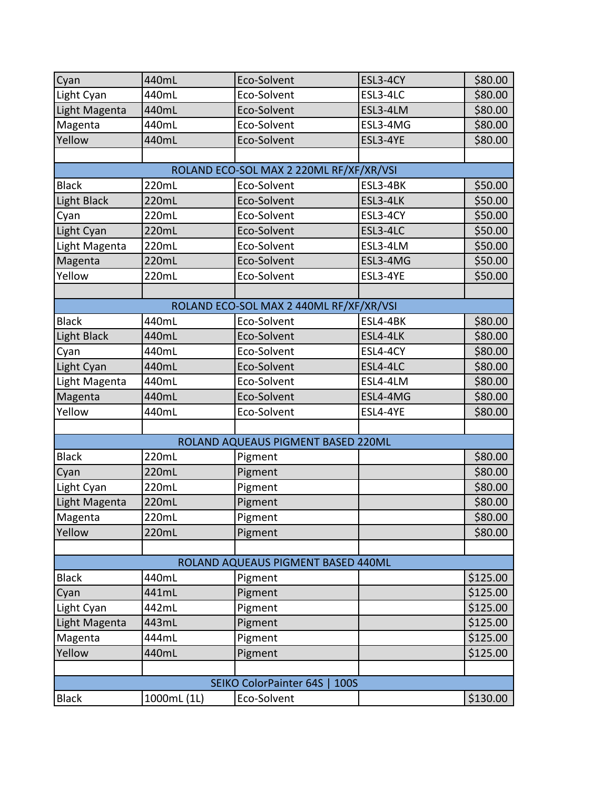| Cyan                                  | 440mL       | Eco-Solvent                             | ESL3-4CY | \$80.00  |  |
|---------------------------------------|-------------|-----------------------------------------|----------|----------|--|
| Light Cyan                            | 440mL       | Eco-Solvent                             | ESL3-4LC | \$80.00  |  |
| Light Magenta                         | 440mL       | Eco-Solvent                             | ESL3-4LM | \$80.00  |  |
| Magenta                               | 440mL       | Eco-Solvent                             | ESL3-4MG | \$80.00  |  |
| Yellow                                | 440mL       | Eco-Solvent                             | ESL3-4YE | \$80.00  |  |
|                                       |             |                                         |          |          |  |
|                                       |             | ROLAND ECO-SOL MAX 2 220ML RF/XF/XR/VSI |          |          |  |
| <b>Black</b>                          | 220mL       | Eco-Solvent                             | ESL3-4BK | \$50.00  |  |
| Light Black                           | 220mL       | Eco-Solvent                             | ESL3-4LK | \$50.00  |  |
| Cyan                                  | 220mL       | Eco-Solvent                             | ESL3-4CY | \$50.00  |  |
| Light Cyan                            | 220mL       | Eco-Solvent                             | ESL3-4LC | \$50.00  |  |
| Light Magenta                         | 220mL       | Eco-Solvent                             | ESL3-4LM | \$50.00  |  |
| Magenta                               | 220mL       | Eco-Solvent                             | ESL3-4MG | \$50.00  |  |
| Yellow                                | 220mL       | Eco-Solvent                             | ESL3-4YE | \$50.00  |  |
|                                       |             |                                         |          |          |  |
|                                       |             | ROLAND ECO-SOL MAX 2 440ML RF/XF/XR/VSI |          |          |  |
| <b>Black</b>                          | 440mL       | Eco-Solvent                             | ESL4-4BK | \$80.00  |  |
| <b>Light Black</b>                    | 440mL       | Eco-Solvent                             | ESL4-4LK | \$80.00  |  |
| Cyan                                  | 440mL       | Eco-Solvent                             | ESL4-4CY | \$80.00  |  |
| Light Cyan                            | 440mL       | Eco-Solvent                             | ESL4-4LC | \$80.00  |  |
| Light Magenta                         | 440mL       | Eco-Solvent                             | ESL4-4LM | \$80.00  |  |
| Magenta                               | 440mL       | Eco-Solvent                             | ESL4-4MG | \$80.00  |  |
| Yellow                                | 440mL       | Eco-Solvent                             | ESL4-4YE | \$80.00  |  |
|                                       |             |                                         |          |          |  |
|                                       |             | ROLAND AQUEAUS PIGMENT BASED 220ML      |          |          |  |
| <b>Black</b>                          | 220mL       | Pigment                                 |          | \$80.00  |  |
| Cyan                                  | 220mL       | Pigment                                 |          | \$80.00  |  |
| Light Cyan                            | 220mL       | Pigment                                 |          | \$80.00  |  |
| Light Magenta                         | 220mL       | Pigment                                 |          | \$80.00  |  |
| Magenta                               | 220mL       | Pigment                                 |          | \$80.00  |  |
| Yellow                                | 220mL       | Pigment                                 |          | \$80.00  |  |
|                                       |             |                                         |          |          |  |
|                                       |             | ROLAND AQUEAUS PIGMENT BASED 440ML      |          |          |  |
| Black                                 | 440mL       | Pigment                                 |          | \$125.00 |  |
| Cyan                                  | 441mL       | Pigment                                 |          | \$125.00 |  |
| Light Cyan                            | 442mL       | Pigment                                 |          | \$125.00 |  |
| Light Magenta                         | 443mL       | Pigment                                 |          | \$125.00 |  |
| Magenta                               | 444mL       | Pigment                                 |          | \$125.00 |  |
| Yellow                                | 440mL       | Pigment                                 |          | \$125.00 |  |
|                                       |             |                                         |          |          |  |
| <b>SEIKO ColorPainter 64S</b><br>100S |             |                                         |          |          |  |
| <b>Black</b>                          | 1000mL (1L) | Eco-Solvent                             |          | \$130.00 |  |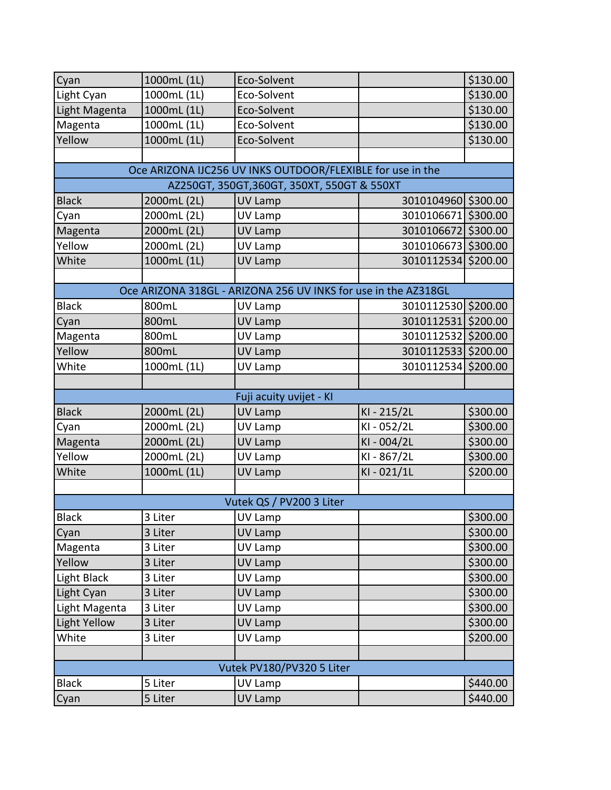| Cyan          | 1000mL (1L) | Eco-Solvent                                                    |                     | \$130.00 |
|---------------|-------------|----------------------------------------------------------------|---------------------|----------|
| Light Cyan    | 1000mL (1L) | Eco-Solvent                                                    |                     | \$130.00 |
| Light Magenta | 1000mL (1L) | Eco-Solvent                                                    |                     | \$130.00 |
| Magenta       | 1000mL (1L) | Eco-Solvent                                                    |                     | \$130.00 |
| Yellow        | 1000mL (1L) | Eco-Solvent                                                    |                     | \$130.00 |
|               |             |                                                                |                     |          |
|               |             | Oce ARIZONA IJC256 UV INKS OUTDOOR/FLEXIBLE for use in the     |                     |          |
|               |             | AZ250GT, 350GT, 360GT, 350XT, 550GT & 550XT                    |                     |          |
| <b>Black</b>  | 2000mL (2L) | <b>UV Lamp</b>                                                 | 3010104960 \$300.00 |          |
| Cyan          | 2000mL (2L) | <b>UV Lamp</b>                                                 | 3010106671          | \$300.00 |
| Magenta       | 2000mL (2L) | <b>UV Lamp</b>                                                 | 3010106672 \$300.00 |          |
| Yellow        | 2000mL (2L) | UV Lamp                                                        | 3010106673 \$300.00 |          |
| White         | 1000mL (1L) | <b>UV Lamp</b>                                                 | 3010112534 \$200.00 |          |
|               |             |                                                                |                     |          |
|               |             | Oce ARIZONA 318GL - ARIZONA 256 UV INKS for use in the AZ318GL |                     |          |
| <b>Black</b>  | 800mL       | UV Lamp                                                        | 3010112530 \$200.00 |          |
| Cyan          | 800mL       | UV Lamp                                                        | 3010112531 \$200.00 |          |
| Magenta       | 800mL       | UV Lamp                                                        | 3010112532          | \$200.00 |
| Yellow        | 800mL       | UV Lamp                                                        | 3010112533 \$200.00 |          |
| White         | 1000mL (1L) | UV Lamp                                                        | 3010112534          | \$200.00 |
|               |             |                                                                |                     |          |
|               |             | Fuji acuity uvijet - KI                                        |                     |          |
| <b>Black</b>  | 2000mL (2L) | UV Lamp                                                        | KI-215/2L           | \$300.00 |
| Cyan          | 2000mL (2L) | UV Lamp                                                        | KI-052/2L           | \$300.00 |
| Magenta       | 2000mL (2L) | <b>UV Lamp</b>                                                 | KI-004/2L           | \$300.00 |
| Yellow        | 2000mL (2L) | UV Lamp                                                        | KI-867/2L           | \$300.00 |
| White         | 1000mL (1L) | UV Lamp                                                        | KI-021/1L           | \$200.00 |
|               |             |                                                                |                     |          |
|               |             | Vutek QS / PV200 3 Liter                                       |                     |          |
| <b>Black</b>  | 3 Liter     | UV Lamp                                                        |                     | \$300.00 |
| Cyan          | 3 Liter     | UV Lamp                                                        |                     | \$300.00 |
| Magenta       | 3 Liter     | UV Lamp                                                        |                     | \$300.00 |
| Yellow        | 3 Liter     | UV Lamp                                                        |                     | \$300.00 |
| Light Black   | 3 Liter     | UV Lamp                                                        |                     | \$300.00 |
| Light Cyan    | 3 Liter     | UV Lamp                                                        |                     | \$300.00 |
| Light Magenta | 3 Liter     | UV Lamp                                                        |                     | \$300.00 |
| Light Yellow  | 3 Liter     | UV Lamp                                                        |                     | \$300.00 |
| White         | 3 Liter     | UV Lamp                                                        |                     | \$200.00 |
|               |             |                                                                |                     |          |
|               |             | Vutek PV180/PV320 5 Liter                                      |                     |          |
| <b>Black</b>  | 5 Liter     | UV Lamp                                                        |                     | \$440.00 |
| Cyan          | 5 Liter     | UV Lamp                                                        |                     | \$440.00 |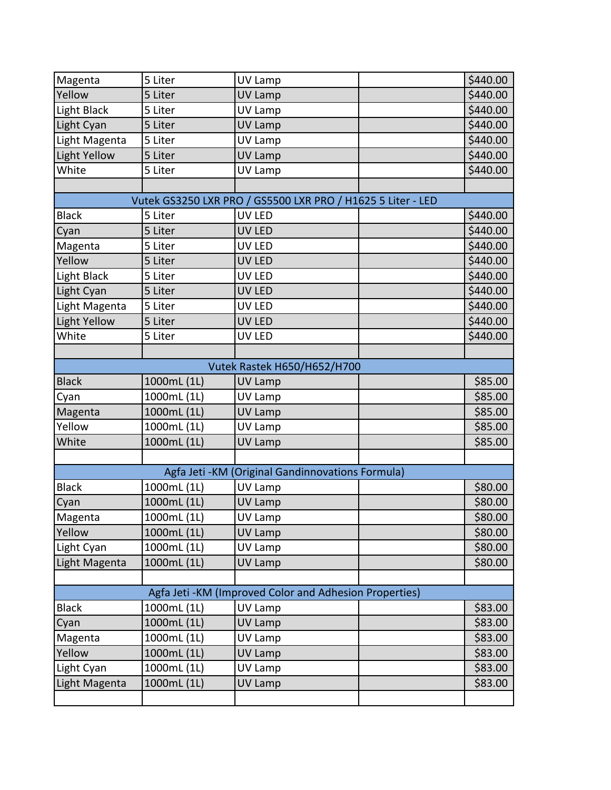| Magenta       | 5 Liter     | UV Lamp                                           |                                                             | \$440.00 |
|---------------|-------------|---------------------------------------------------|-------------------------------------------------------------|----------|
| Yellow        | 5 Liter     | <b>UV Lamp</b>                                    |                                                             | \$440.00 |
| Light Black   | 5 Liter     | UV Lamp                                           |                                                             | \$440.00 |
| Light Cyan    | 5 Liter     | UV Lamp                                           |                                                             | \$440.00 |
| Light Magenta | 5 Liter     | UV Lamp                                           |                                                             | \$440.00 |
| Light Yellow  | 5 Liter     | <b>UV Lamp</b>                                    |                                                             | \$440.00 |
| White         | 5 Liter     | UV Lamp                                           |                                                             | \$440.00 |
|               |             |                                                   |                                                             |          |
|               |             |                                                   | Vutek GS3250 LXR PRO / GS5500 LXR PRO / H1625 5 Liter - LED |          |
| <b>Black</b>  | 5 Liter     | UV LED                                            |                                                             | \$440.00 |
| Cyan          | 5 Liter     | UV LED                                            |                                                             | \$440.00 |
| Magenta       | 5 Liter     | UV LED                                            |                                                             | \$440.00 |
| Yellow        | 5 Liter     | <b>UV LED</b>                                     |                                                             | \$440.00 |
| Light Black   | 5 Liter     | UV LED                                            |                                                             | \$440.00 |
| Light Cyan    | 5 Liter     | UV LED                                            |                                                             | \$440.00 |
| Light Magenta | 5 Liter     | UV LED                                            |                                                             | \$440.00 |
| Light Yellow  | 5 Liter     | <b>UV LED</b>                                     |                                                             | \$440.00 |
| White         | 5 Liter     | UV LED                                            |                                                             | \$440.00 |
|               |             |                                                   |                                                             |          |
|               |             | Vutek Rastek H650/H652/H700                       |                                                             |          |
| <b>Black</b>  | 1000mL (1L) | UV Lamp                                           |                                                             | \$85.00  |
| Cyan          | 1000mL (1L) | UV Lamp                                           |                                                             | \$85.00  |
| Magenta       | 1000mL (1L) | <b>UV Lamp</b>                                    |                                                             | \$85.00  |
| Yellow        | 1000mL (1L) | UV Lamp                                           |                                                             | \$85.00  |
| White         | 1000mL (1L) | <b>UV Lamp</b>                                    |                                                             | \$85.00  |
|               |             |                                                   |                                                             |          |
|               |             | Agfa Jeti - KM (Original Gandinnovations Formula) |                                                             |          |
| <b>Black</b>  | 1000mL (1L) | UV Lamp                                           |                                                             | \$80.00  |
| Cyan          | 1000mL (1L) | UV Lamp                                           |                                                             | \$80.00  |
| Magenta       | 1000mL (1L) | UV Lamp                                           |                                                             | \$80.00  |
| Yellow        | 1000mL (1L) | <b>UV Lamp</b>                                    |                                                             | \$80.00  |
| Light Cyan    | 1000mL (1L) | UV Lamp                                           |                                                             | \$80.00  |
| Light Magenta | 1000mL (1L) | UV Lamp                                           |                                                             | \$80.00  |
|               |             |                                                   |                                                             |          |
|               |             |                                                   | Agfa Jeti - KM (Improved Color and Adhesion Properties)     |          |
| <b>Black</b>  | 1000mL (1L) | UV Lamp                                           |                                                             | \$83.00  |
| Cyan          | 1000mL (1L) | UV Lamp                                           |                                                             | \$83.00  |
| Magenta       | 1000mL (1L) | UV Lamp                                           |                                                             | \$83.00  |
| Yellow        | 1000mL (1L) | UV Lamp                                           |                                                             | \$83.00  |
| Light Cyan    | 1000mL (1L) | UV Lamp                                           |                                                             | \$83.00  |
| Light Magenta | 1000mL (1L) | UV Lamp                                           |                                                             | \$83.00  |
|               |             |                                                   |                                                             |          |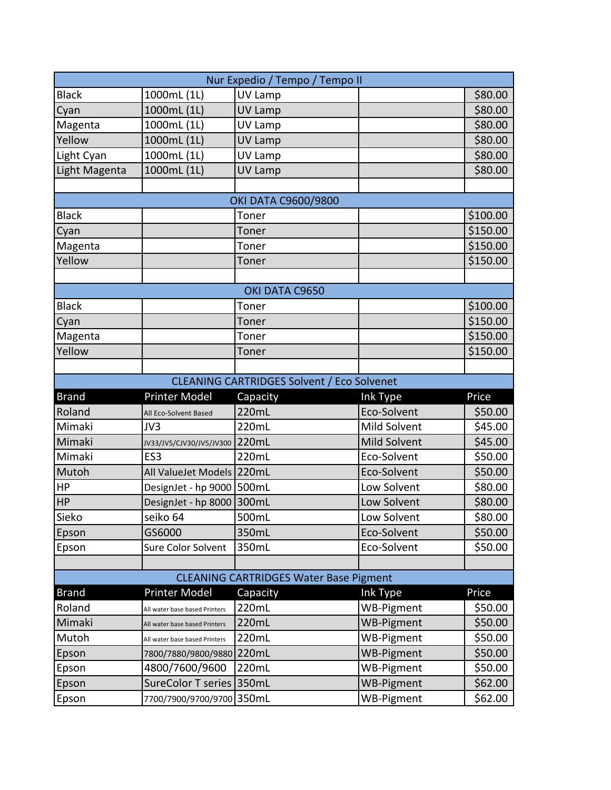| Nur Expedio / Tempo / Tempo II                    |                               |                                               |                   |          |  |
|---------------------------------------------------|-------------------------------|-----------------------------------------------|-------------------|----------|--|
| <b>Black</b>                                      | 1000mL (1L)                   | UV Lamp                                       |                   | \$80.00  |  |
| Cyan                                              | 1000mL (1L)                   | <b>UV Lamp</b>                                |                   | \$80.00  |  |
| Magenta                                           | 1000mL (1L)                   | UV Lamp                                       |                   | \$80.00  |  |
| Yellow                                            | 1000mL (1L)                   | <b>UV Lamp</b>                                |                   | \$80.00  |  |
| Light Cyan                                        | 1000mL (1L)                   | UV Lamp                                       |                   | \$80.00  |  |
| Light Magenta                                     | 1000mL (1L)                   | <b>UV Lamp</b>                                |                   | \$80.00  |  |
|                                                   |                               |                                               |                   |          |  |
|                                                   |                               | OKI DATA C9600/9800                           |                   |          |  |
| <b>Black</b>                                      |                               | Toner                                         |                   | \$100.00 |  |
| Cyan                                              |                               | Toner                                         |                   | \$150.00 |  |
| Magenta                                           |                               | Toner                                         |                   | \$150.00 |  |
| Yellow                                            |                               | Toner                                         |                   | \$150.00 |  |
|                                                   |                               |                                               |                   |          |  |
|                                                   |                               | OKI DATA C9650                                |                   |          |  |
| <b>Black</b>                                      |                               | Toner                                         |                   | \$100.00 |  |
| Cyan                                              |                               | Toner                                         |                   | \$150.00 |  |
| Magenta                                           |                               | Toner                                         |                   | \$150.00 |  |
| Yellow                                            |                               | Toner                                         |                   | \$150.00 |  |
|                                                   |                               |                                               |                   |          |  |
| <b>CLEANING CARTRIDGES Solvent / Eco Solvenet</b> |                               |                                               |                   |          |  |
|                                                   |                               |                                               |                   |          |  |
| <b>Brand</b>                                      | <b>Printer Model</b>          | Capacity                                      | Ink Type          | Price    |  |
| Roland                                            | All Eco-Solvent Based         | 220mL                                         | Eco-Solvent       | \$50.00  |  |
| Mimaki                                            | JV3                           | 220mL                                         | Mild Solvent      | \$45.00  |  |
| Mimaki                                            | JV33/JV5/CJV30/JV5/JV300      | 220mL                                         | Mild Solvent      | \$45.00  |  |
| Mimaki                                            | ES <sub>3</sub>               | 220mL                                         | Eco-Solvent       | \$50.00  |  |
| Mutoh                                             | All ValueJet Models 220mL     |                                               | Eco-Solvent       | \$50.00  |  |
| HP                                                | DesignJet - hp 9000   500mL   |                                               | Low Solvent       | \$80.00  |  |
| H <sub>P</sub>                                    | DesignJet - hp 8000           | 300mL                                         | Low Solvent       | \$80.00  |  |
| Sieko                                             | seiko 64                      | 500mL                                         | Low Solvent       | \$80.00  |  |
| Epson                                             | GS6000                        | 350mL                                         | Eco-Solvent       | \$50.00  |  |
| Epson                                             | Sure Color Solvent            | 350mL                                         | Eco-Solvent       | \$50.00  |  |
|                                                   |                               |                                               |                   |          |  |
|                                                   |                               | <b>CLEANING CARTRIDGES Water Base Pigment</b> |                   |          |  |
| <b>Brand</b>                                      | Printer Model                 | Capacity                                      | <b>Ink Type</b>   | Price    |  |
| Roland                                            | All water base based Printers | 220mL                                         | WB-Pigment        | \$50.00  |  |
| Mimaki                                            | All water base based Printers | 220mL                                         | <b>WB-Pigment</b> | \$50.00  |  |
| Mutoh                                             | All water base based Printers | 220mL                                         | <b>WB-Pigment</b> | \$50.00  |  |
| Epson                                             | 7800/7880/9800/9880 220mL     |                                               | <b>WB-Pigment</b> | \$50.00  |  |
| Epson                                             | 4800/7600/9600                | 220mL                                         | <b>WB-Pigment</b> | \$50.00  |  |
| Epson                                             | SureColor T series 350mL      |                                               | <b>WB-Pigment</b> | \$62.00  |  |